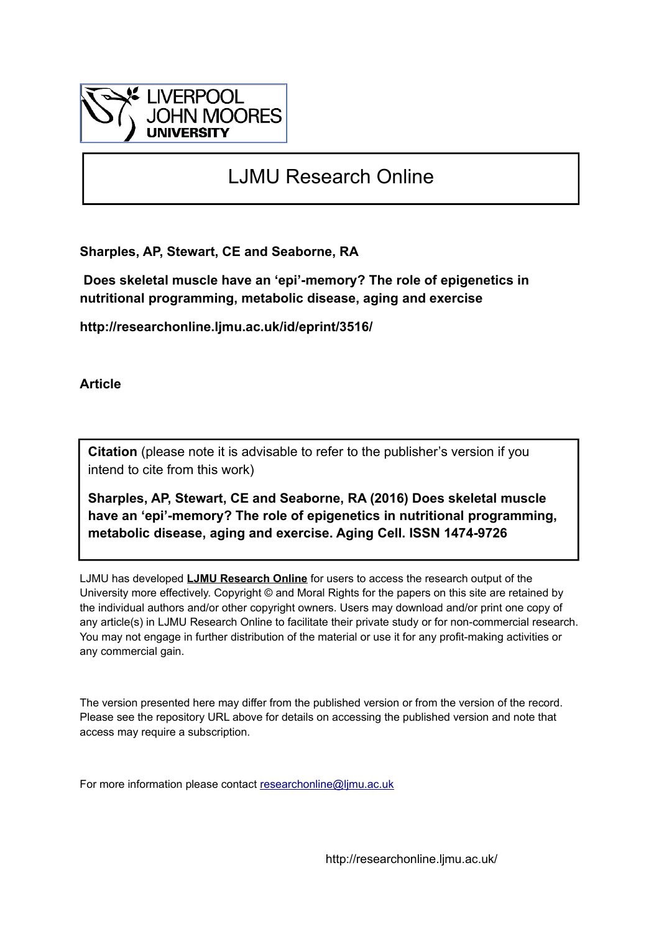

# LJMU Research Online

**Sharples, AP, Stewart, CE and Seaborne, RA**

 **Does skeletal muscle have an 'epi'-memory? The role of epigenetics in nutritional programming, metabolic disease, aging and exercise**

**http://researchonline.ljmu.ac.uk/id/eprint/3516/**

**Article**

**Citation** (please note it is advisable to refer to the publisher's version if you intend to cite from this work)

**Sharples, AP, Stewart, CE and Seaborne, RA (2016) Does skeletal muscle have an 'epi'-memory? The role of epigenetics in nutritional programming, metabolic disease, aging and exercise. Aging Cell. ISSN 1474-9726** 

LJMU has developed **[LJMU Research Online](http://researchonline.ljmu.ac.uk/)** for users to access the research output of the University more effectively. Copyright © and Moral Rights for the papers on this site are retained by the individual authors and/or other copyright owners. Users may download and/or print one copy of any article(s) in LJMU Research Online to facilitate their private study or for non-commercial research. You may not engage in further distribution of the material or use it for any profit-making activities or any commercial gain.

The version presented here may differ from the published version or from the version of the record. Please see the repository URL above for details on accessing the published version and note that access may require a subscription.

For more information please contact [researchonline@ljmu.ac.uk](mailto:researchonline@ljmu.ac.uk)

http://researchonline.ljmu.ac.uk/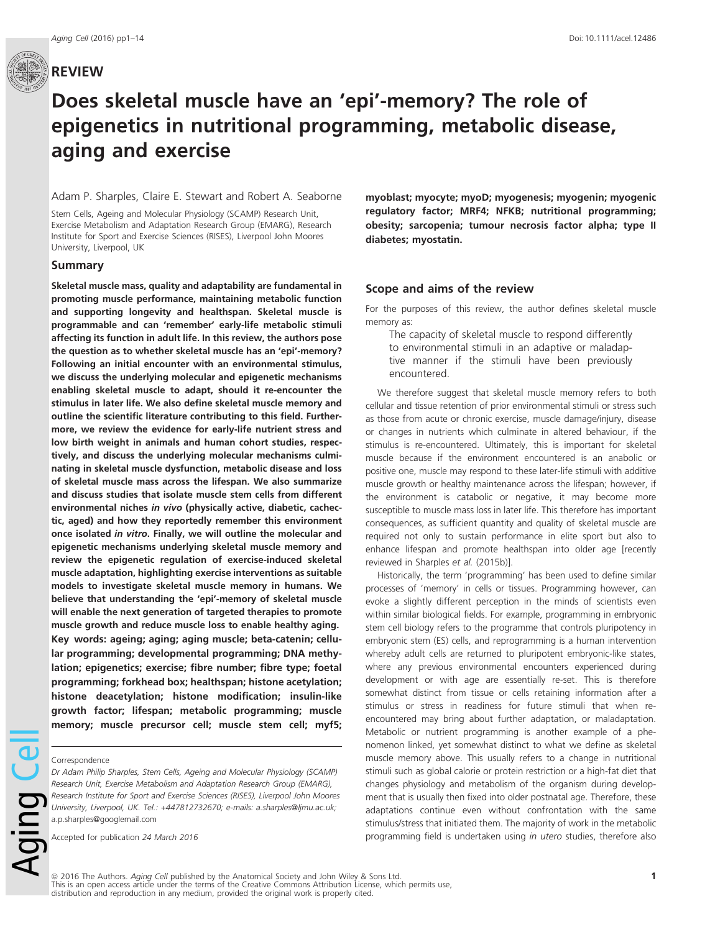

# Does skeletal muscle have an 'epi'-memory? The role of epigenetics in nutritional programming, metabolic disease, aging and exercise

#### Adam P. Sharples, Claire E. Stewart and Robert A. Seaborne

Stem Cells, Ageing and Molecular Physiology (SCAMP) Research Unit, Exercise Metabolism and Adaptation Research Group (EMARG), Research Institute for Sport and Exercise Sciences (RISES), Liverpool John Moores University, Liverpool, UK

#### Summary

Skeletal muscle mass, quality and adaptability are fundamental in promoting muscle performance, maintaining metabolic function and supporting longevity and healthspan. Skeletal muscle is programmable and can 'remember' early-life metabolic stimuli affecting its function in adult life. In this review, the authors pose the question as to whether skeletal muscle has an 'epi'-memory? Following an initial encounter with an environmental stimulus, we discuss the underlying molecular and epigenetic mechanisms enabling skeletal muscle to adapt, should it re-encounter the stimulus in later life. We also define skeletal muscle memory and outline the scientific literature contributing to this field. Furthermore, we review the evidence for early-life nutrient stress and low birth weight in animals and human cohort studies, respectively, and discuss the underlying molecular mechanisms culminating in skeletal muscle dysfunction, metabolic disease and loss of skeletal muscle mass across the lifespan. We also summarize and discuss studies that isolate muscle stem cells from different environmental niches in vivo (physically active, diabetic, cachectic, aged) and how they reportedly remember this environment once isolated in vitro. Finally, we will outline the molecular and epigenetic mechanisms underlying skeletal muscle memory and review the epigenetic regulation of exercise-induced skeletal muscle adaptation, highlighting exercise interventions as suitable models to investigate skeletal muscle memory in humans. We believe that understanding the 'epi'-memory of skeletal muscle will enable the next generation of targeted therapies to promote muscle growth and reduce muscle loss to enable healthy aging. Key words: ageing; aging; aging muscle; beta-catenin; cellular programming; developmental programming; DNA methylation; epigenetics; exercise; fibre number; fibre type; foetal programming; forkhead box; healthspan; histone acetylation; histone deacetylation; histone modification; insulin-like growth factor; lifespan; metabolic programming; muscle memory; muscle precursor cell; muscle stem cell; myf5;

#### Correspondence

Aging Ce

Dr Adam Philip Sharples, Stem Cells, Ageing and Molecular Physiology (SCAMP) Research Unit, Exercise Metabolism and Adaptation Research Group (EMARG), Research Institute for Sport and Exercise Sciences (RISES), Liverpool John Moores University, Liverpool, UK. Tel.: +447812732670; e-mails: a.sharples@ljmu.ac.uk; a.p.sharples@googlemail.com

myoblast; myocyte; myoD; myogenesis; myogenin; myogenic regulatory factor; MRF4; NFKB; nutritional programming; obesity; sarcopenia; tumour necrosis factor alpha; type II diabetes; myostatin.

#### Scope and aims of the review

For the purposes of this review, the author defines skeletal muscle memory as:

The capacity of skeletal muscle to respond differently to environmental stimuli in an adaptive or maladaptive manner if the stimuli have been previously encountered.

We therefore suggest that skeletal muscle memory refers to both cellular and tissue retention of prior environmental stimuli or stress such as those from acute or chronic exercise, muscle damage/injury, disease or changes in nutrients which culminate in altered behaviour, if the stimulus is re-encountered. Ultimately, this is important for skeletal muscle because if the environment encountered is an anabolic or positive one, muscle may respond to these later-life stimuli with additive muscle growth or healthy maintenance across the lifespan; however, if the environment is catabolic or negative, it may become more susceptible to muscle mass loss in later life. This therefore has important consequences, as sufficient quantity and quality of skeletal muscle are required not only to sustain performance in elite sport but also to enhance lifespan and promote healthspan into older age [recently reviewed in Sharples et al. (2015b)].

Historically, the term 'programming' has been used to define similar processes of 'memory' in cells or tissues. Programming however, can evoke a slightly different perception in the minds of scientists even within similar biological fields. For example, programming in embryonic stem cell biology refers to the programme that controls pluripotency in embryonic stem (ES) cells, and reprogramming is a human intervention whereby adult cells are returned to pluripotent embryonic-like states, where any previous environmental encounters experienced during development or with age are essentially re-set. This is therefore somewhat distinct from tissue or cells retaining information after a stimulus or stress in readiness for future stimuli that when reencountered may bring about further adaptation, or maladaptation. Metabolic or nutrient programming is another example of a phenomenon linked, yet somewhat distinct to what we define as skeletal muscle memory above. This usually refers to a change in nutritional stimuli such as global calorie or protein restriction or a high-fat diet that changes physiology and metabolism of the organism during development that is usually then fixed into older postnatal age. Therefore, these adaptations continue even without confrontation with the same stimulus/stress that initiated them. The majority of work in the metabolic programming field is undertaken using in utero studies, therefore also

Accepted for publication 24 March 2016

ª 2016 The Authors. Aging Cell published by the Anatomical Society and John Wiley & Sons Ltd. This is an open access article under the terms of the [Creative Commons Attribution](http://creativecommons.org/licenses/by/4.0/) License, which permits use, distribution and reproduction in any medium, provided the original work is properly cited.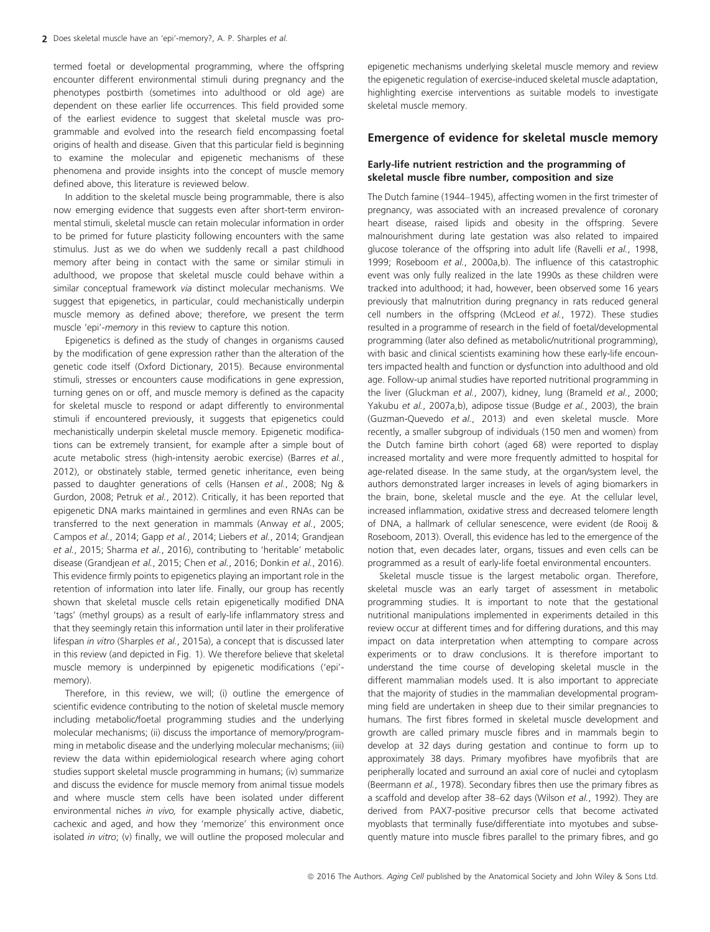termed foetal or developmental programming, where the offspring encounter different environmental stimuli during pregnancy and the phenotypes postbirth (sometimes into adulthood or old age) are dependent on these earlier life occurrences. This field provided some of the earliest evidence to suggest that skeletal muscle was programmable and evolved into the research field encompassing foetal origins of health and disease. Given that this particular field is beginning to examine the molecular and epigenetic mechanisms of these phenomena and provide insights into the concept of muscle memory defined above, this literature is reviewed below.

In addition to the skeletal muscle being programmable, there is also now emerging evidence that suggests even after short-term environmental stimuli, skeletal muscle can retain molecular information in order to be primed for future plasticity following encounters with the same stimulus. Just as we do when we suddenly recall a past childhood memory after being in contact with the same or similar stimuli in adulthood, we propose that skeletal muscle could behave within a similar conceptual framework via distinct molecular mechanisms. We suggest that epigenetics, in particular, could mechanistically underpin muscle memory as defined above; therefore, we present the term muscle 'epi'-memory in this review to capture this notion.

Epigenetics is defined as the study of changes in organisms caused by the modification of gene expression rather than the alteration of the genetic code itself (Oxford Dictionary, 2015). Because environmental stimuli, stresses or encounters cause modifications in gene expression, turning genes on or off, and muscle memory is defined as the capacity for skeletal muscle to respond or adapt differently to environmental stimuli if encountered previously, it suggests that epigenetics could mechanistically underpin skeletal muscle memory. Epigenetic modifications can be extremely transient, for example after a simple bout of acute metabolic stress (high-intensity aerobic exercise) (Barres et al., 2012), or obstinately stable, termed genetic inheritance, even being passed to daughter generations of cells (Hansen et al., 2008; Ng & Gurdon, 2008; Petruk et al., 2012). Critically, it has been reported that epigenetic DNA marks maintained in germlines and even RNAs can be transferred to the next generation in mammals (Anway et al., 2005; Campos et al., 2014; Gapp et al., 2014; Liebers et al., 2014; Grandjean et al., 2015; Sharma et al., 2016), contributing to 'heritable' metabolic disease (Grandjean et al., 2015; Chen et al., 2016; Donkin et al., 2016). This evidence firmly points to epigenetics playing an important role in the retention of information into later life. Finally, our group has recently shown that skeletal muscle cells retain epigenetically modified DNA 'tags' (methyl groups) as a result of early-life inflammatory stress and that they seemingly retain this information until later in their proliferative lifespan in vitro (Sharples et al., 2015a), a concept that is discussed later in this review (and depicted in Fig. 1). We therefore believe that skeletal muscle memory is underpinned by epigenetic modifications ('epi' memory).

Therefore, in this review, we will; (i) outline the emergence of scientific evidence contributing to the notion of skeletal muscle memory including metabolic/foetal programming studies and the underlying molecular mechanisms; (ii) discuss the importance of memory/programming in metabolic disease and the underlying molecular mechanisms; (iii) review the data within epidemiological research where aging cohort studies support skeletal muscle programming in humans; (iv) summarize and discuss the evidence for muscle memory from animal tissue models and where muscle stem cells have been isolated under different environmental niches in vivo, for example physically active, diabetic, cachexic and aged, and how they 'memorize' this environment once isolated in vitro; (v) finally, we will outline the proposed molecular and epigenetic mechanisms underlying skeletal muscle memory and review the epigenetic regulation of exercise-induced skeletal muscle adaptation, highlighting exercise interventions as suitable models to investigate skeletal muscle memory.

## Emergence of evidence for skeletal muscle memory

## Early-life nutrient restriction and the programming of skeletal muscle fibre number, composition and size

The Dutch famine (1944–1945), affecting women in the first trimester of pregnancy, was associated with an increased prevalence of coronary heart disease, raised lipids and obesity in the offspring. Severe malnourishment during late gestation was also related to impaired glucose tolerance of the offspring into adult life (Ravelli et al., 1998, 1999; Roseboom et al., 2000a,b). The influence of this catastrophic event was only fully realized in the late 1990s as these children were tracked into adulthood; it had, however, been observed some 16 years previously that malnutrition during pregnancy in rats reduced general cell numbers in the offspring (McLeod et al., 1972). These studies resulted in a programme of research in the field of foetal/developmental programming (later also defined as metabolic/nutritional programming), with basic and clinical scientists examining how these early-life encounters impacted health and function or dysfunction into adulthood and old age. Follow-up animal studies have reported nutritional programming in the liver (Gluckman et al., 2007), kidney, lung (Brameld et al., 2000; Yakubu et al., 2007a,b), adipose tissue (Budge et al., 2003), the brain (Guzman-Quevedo et al., 2013) and even skeletal muscle. More recently, a smaller subgroup of individuals (150 men and women) from the Dutch famine birth cohort (aged 68) were reported to display increased mortality and were more frequently admitted to hospital for age-related disease. In the same study, at the organ/system level, the authors demonstrated larger increases in levels of aging biomarkers in the brain, bone, skeletal muscle and the eye. At the cellular level, increased inflammation, oxidative stress and decreased telomere length of DNA, a hallmark of cellular senescence, were evident (de Rooij & Roseboom, 2013). Overall, this evidence has led to the emergence of the notion that, even decades later, organs, tissues and even cells can be programmed as a result of early-life foetal environmental encounters.

Skeletal muscle tissue is the largest metabolic organ. Therefore, skeletal muscle was an early target of assessment in metabolic programming studies. It is important to note that the gestational nutritional manipulations implemented in experiments detailed in this review occur at different times and for differing durations, and this may impact on data interpretation when attempting to compare across experiments or to draw conclusions. It is therefore important to understand the time course of developing skeletal muscle in the different mammalian models used. It is also important to appreciate that the majority of studies in the mammalian developmental programming field are undertaken in sheep due to their similar pregnancies to humans. The first fibres formed in skeletal muscle development and growth are called primary muscle fibres and in mammals begin to develop at 32 days during gestation and continue to form up to approximately 38 days. Primary myofibres have myofibrils that are peripherally located and surround an axial core of nuclei and cytoplasm (Beermann et al., 1978). Secondary fibres then use the primary fibres as a scaffold and develop after 38–62 days (Wilson et al., 1992). They are derived from PAX7-positive precursor cells that become activated myoblasts that terminally fuse/differentiate into myotubes and subsequently mature into muscle fibres parallel to the primary fibres, and go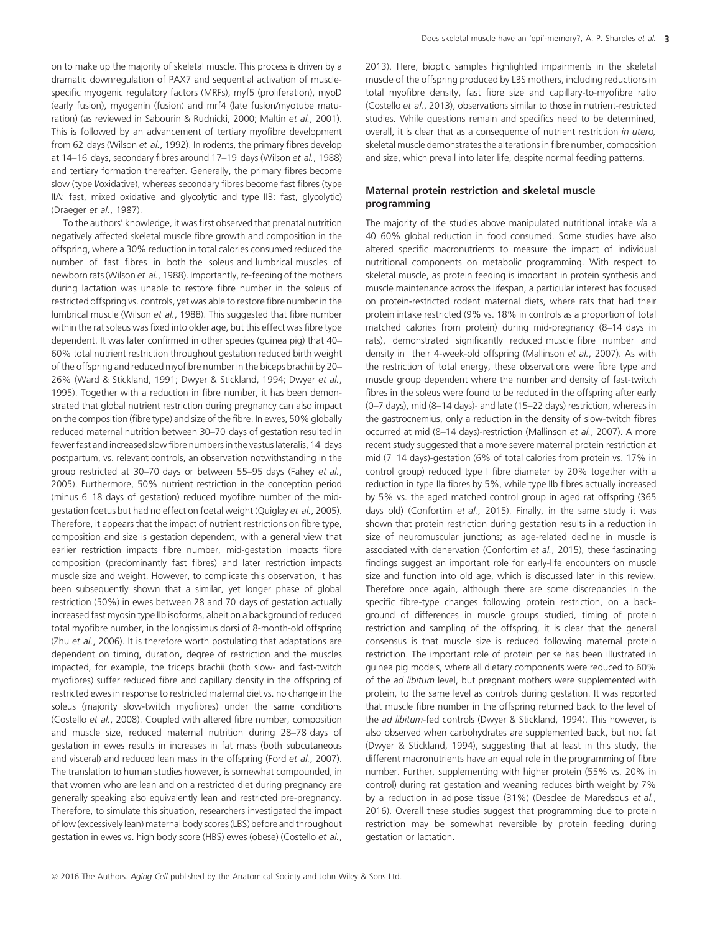on to make up the majority of skeletal muscle. This process is driven by a dramatic downregulation of PAX7 and sequential activation of musclespecific myogenic regulatory factors (MRFs), myf5 (proliferation), myoD (early fusion), myogenin (fusion) and mrf4 (late fusion/myotube maturation) (as reviewed in Sabourin & Rudnicki, 2000; Maltin et al., 2001). This is followed by an advancement of tertiary myofibre development from 62 days (Wilson et al., 1992). In rodents, the primary fibres develop at 14–16 days, secondary fibres around 17–19 days (Wilson et al., 1988) and tertiary formation thereafter. Generally, the primary fibres become slow (type I/oxidative), whereas secondary fibres become fast fibres (type IIA: fast, mixed oxidative and glycolytic and type IIB: fast, glycolytic) (Draeger et al., 1987).

To the authors' knowledge, it was first observed that prenatal nutrition negatively affected skeletal muscle fibre growth and composition in the offspring, where a 30% reduction in total calories consumed reduced the number of fast fibres in both the soleus and lumbrical muscles of newborn rats (Wilson et al., 1988). Importantly, re-feeding of the mothers during lactation was unable to restore fibre number in the soleus of restricted offspring vs. controls, yet was able to restore fibre number in the lumbrical muscle (Wilson et al., 1988). This suggested that fibre number within the rat soleus was fixed into older age, but this effect was fibre type dependent. It was later confirmed in other species (guinea pig) that 40– 60% total nutrient restriction throughout gestation reduced birth weight of the offspring and reduced myofibre number in the biceps brachii by 20– 26% (Ward & Stickland, 1991; Dwyer & Stickland, 1994; Dwyer et al., 1995). Together with a reduction in fibre number, it has been demonstrated that global nutrient restriction during pregnancy can also impact on the composition (fibre type) and size of the fibre. In ewes, 50% globally reduced maternal nutrition between 30–70 days of gestation resulted in fewer fast and increased slow fibre numbers in the vastus lateralis, 14 days postpartum, vs. relevant controls, an observation notwithstanding in the group restricted at 30-70 days or between 55-95 days (Fahey et al., 2005). Furthermore, 50% nutrient restriction in the conception period (minus 6–18 days of gestation) reduced myofibre number of the midgestation foetus but had no effect on foetal weight (Quigley et al., 2005). Therefore, it appears that the impact of nutrient restrictions on fibre type, composition and size is gestation dependent, with a general view that earlier restriction impacts fibre number, mid-gestation impacts fibre composition (predominantly fast fibres) and later restriction impacts muscle size and weight. However, to complicate this observation, it has been subsequently shown that a similar, yet longer phase of global restriction (50%) in ewes between 28 and 70 days of gestation actually increased fast myosin type IIb isoforms, albeit on a background of reduced total myofibre number, in the longissimus dorsi of 8-month-old offspring (Zhu et al., 2006). It is therefore worth postulating that adaptations are dependent on timing, duration, degree of restriction and the muscles impacted, for example, the triceps brachii (both slow- and fast-twitch myofibres) suffer reduced fibre and capillary density in the offspring of restricted ewes in response to restricted maternal diet vs. no change in the soleus (majority slow-twitch myofibres) under the same conditions (Costello et al., 2008). Coupled with altered fibre number, composition and muscle size, reduced maternal nutrition during 28–78 days of gestation in ewes results in increases in fat mass (both subcutaneous and visceral) and reduced lean mass in the offspring (Ford et al., 2007). The translation to human studies however, is somewhat compounded, in that women who are lean and on a restricted diet during pregnancy are generally speaking also equivalently lean and restricted pre-pregnancy. Therefore, to simulate this situation, researchers investigated the impact of low (excessively lean) maternal body scores (LBS) before and throughout gestation in ewes vs. high body score (HBS) ewes (obese) (Costello et al., 2013). Here, bioptic samples highlighted impairments in the skeletal muscle of the offspring produced by LBS mothers, including reductions in total myofibre density, fast fibre size and capillary-to-myofibre ratio (Costello et al., 2013), observations similar to those in nutrient-restricted studies. While questions remain and specifics need to be determined, overall, it is clear that as a consequence of nutrient restriction in utero, skeletal muscle demonstrates the alterations in fibre number, composition and size, which prevail into later life, despite normal feeding patterns.

## Maternal protein restriction and skeletal muscle programming

The majority of the studies above manipulated nutritional intake via a 40–60% global reduction in food consumed. Some studies have also altered specific macronutrients to measure the impact of individual nutritional components on metabolic programming. With respect to skeletal muscle, as protein feeding is important in protein synthesis and muscle maintenance across the lifespan, a particular interest has focused on protein-restricted rodent maternal diets, where rats that had their protein intake restricted (9% vs. 18% in controls as a proportion of total matched calories from protein) during mid-pregnancy (8–14 days in rats), demonstrated significantly reduced muscle fibre number and density in their 4-week-old offspring (Mallinson et al., 2007). As with the restriction of total energy, these observations were fibre type and muscle group dependent where the number and density of fast-twitch fibres in the soleus were found to be reduced in the offspring after early (0–7 days), mid (8–14 days)- and late (15–22 days) restriction, whereas in the gastrocnemius, only a reduction in the density of slow-twitch fibres occurred at mid (8–14 days)-restriction (Mallinson et al., 2007). A more recent study suggested that a more severe maternal protein restriction at mid (7–14 days)-gestation (6% of total calories from protein vs. 17% in control group) reduced type I fibre diameter by 20% together with a reduction in type IIa fibres by 5%, while type IIb fibres actually increased by 5% vs. the aged matched control group in aged rat offspring (365 days old) (Confortim et al., 2015). Finally, in the same study it was shown that protein restriction during gestation results in a reduction in size of neuromuscular junctions; as age-related decline in muscle is associated with denervation (Confortim et al., 2015), these fascinating findings suggest an important role for early-life encounters on muscle size and function into old age, which is discussed later in this review. Therefore once again, although there are some discrepancies in the specific fibre-type changes following protein restriction, on a background of differences in muscle groups studied, timing of protein restriction and sampling of the offspring, it is clear that the general consensus is that muscle size is reduced following maternal protein restriction. The important role of protein per se has been illustrated in guinea pig models, where all dietary components were reduced to 60% of the ad libitum level, but pregnant mothers were supplemented with protein, to the same level as controls during gestation. It was reported that muscle fibre number in the offspring returned back to the level of the ad libitum-fed controls (Dwyer & Stickland, 1994). This however, is also observed when carbohydrates are supplemented back, but not fat (Dwyer & Stickland, 1994), suggesting that at least in this study, the different macronutrients have an equal role in the programming of fibre number. Further, supplementing with higher protein (55% vs. 20% in control) during rat gestation and weaning reduces birth weight by 7% by a reduction in adipose tissue (31%) (Desclee de Maredsous et al., 2016). Overall these studies suggest that programming due to protein restriction may be somewhat reversible by protein feeding during gestation or lactation.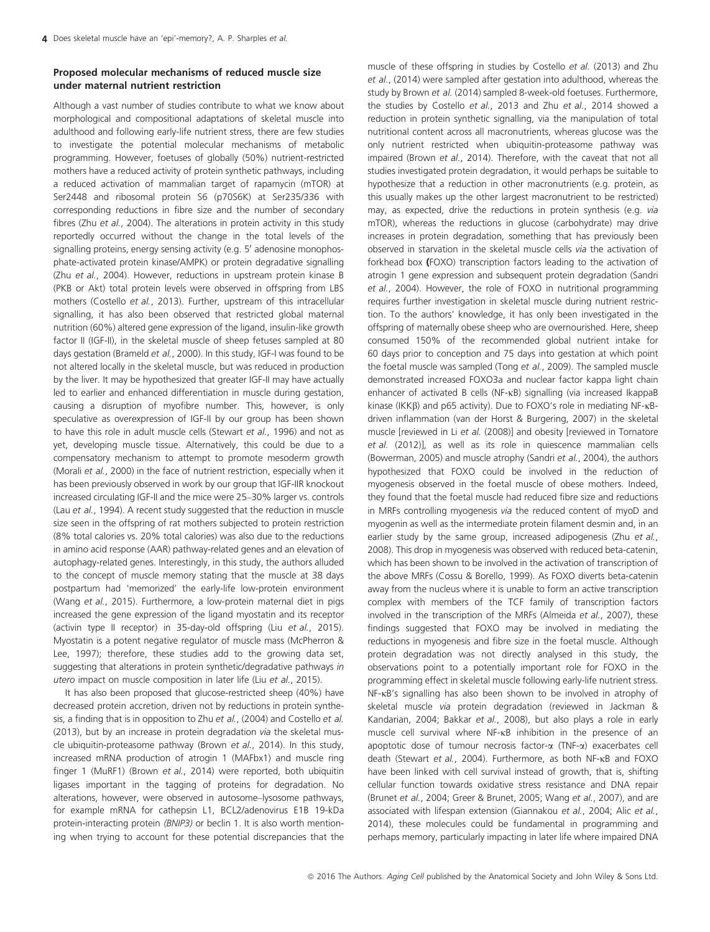## Proposed molecular mechanisms of reduced muscle size under maternal nutrient restriction

Although a vast number of studies contribute to what we know about morphological and compositional adaptations of skeletal muscle into adulthood and following early-life nutrient stress, there are few studies to investigate the potential molecular mechanisms of metabolic programming. However, foetuses of globally (50%) nutrient-restricted mothers have a reduced activity of protein synthetic pathways, including a reduced activation of mammalian target of rapamycin (mTOR) at Ser2448 and ribosomal protein S6 (p70S6K) at Ser235/336 with corresponding reductions in fibre size and the number of secondary fibres (Zhu et al., 2004). The alterations in protein activity in this study reportedly occurred without the change in the total levels of the signalling proteins, energy sensing activity (e.g. 5' adenosine monophosphate-activated protein kinase/AMPK) or protein degradative signalling (Zhu et al., 2004). However, reductions in upstream protein kinase B (PKB or Akt) total protein levels were observed in offspring from LBS mothers (Costello et al., 2013). Further, upstream of this intracellular signalling, it has also been observed that restricted global maternal nutrition (60%) altered gene expression of the ligand, insulin-like growth factor II (IGF-II), in the skeletal muscle of sheep fetuses sampled at 80 days gestation (Brameld et al., 2000). In this study, IGF-I was found to be not altered locally in the skeletal muscle, but was reduced in production by the liver. It may be hypothesized that greater IGF-II may have actually led to earlier and enhanced differentiation in muscle during gestation, causing a disruption of myofibre number. This, however, is only speculative as overexpression of IGF-II by our group has been shown to have this role in adult muscle cells (Stewart et al., 1996) and not as yet, developing muscle tissue. Alternatively, this could be due to a compensatory mechanism to attempt to promote mesoderm growth (Morali et al., 2000) in the face of nutrient restriction, especially when it has been previously observed in work by our group that IGF-IIR knockout increased circulating IGF-II and the mice were 25–30% larger vs. controls (Lau et al., 1994). A recent study suggested that the reduction in muscle size seen in the offspring of rat mothers subjected to protein restriction (8% total calories vs. 20% total calories) was also due to the reductions in amino acid response (AAR) pathway-related genes and an elevation of autophagy-related genes. Interestingly, in this study, the authors alluded to the concept of muscle memory stating that the muscle at 38 days postpartum had 'memorized' the early-life low-protein environment (Wang et al., 2015). Furthermore, a low-protein maternal diet in pigs increased the gene expression of the ligand myostatin and its receptor (activin type II receptor) in 35-day-old offspring (Liu et al., 2015). Myostatin is a potent negative regulator of muscle mass (McPherron & Lee, 1997); therefore, these studies add to the growing data set, suggesting that alterations in protein synthetic/degradative pathways in utero impact on muscle composition in later life (Liu et al., 2015).

It has also been proposed that glucose-restricted sheep (40%) have decreased protein accretion, driven not by reductions in protein synthesis, a finding that is in opposition to Zhu et al., (2004) and Costello et al. (2013), but by an increase in protein degradation via the skeletal muscle ubiquitin-proteasome pathway (Brown et al., 2014). In this study, increased mRNA production of atrogin 1 (MAFbx1) and muscle ring finger 1 (MuRF1) (Brown et al., 2014) were reported, both ubiquitin ligases important in the tagging of proteins for degradation. No alterations, however, were observed in autosome–lysosome pathways, for example mRNA for cathepsin L1, BCL2/adenovirus E1B 19-kDa protein-interacting protein (BNIP3) or beclin 1. It is also worth mentioning when trying to account for these potential discrepancies that the

muscle of these offspring in studies by Costello et al. (2013) and Zhu et al., (2014) were sampled after gestation into adulthood, whereas the study by Brown et al. (2014) sampled 8-week-old foetuses. Furthermore, the studies by Costello et al., 2013 and Zhu et al., 2014 showed a reduction in protein synthetic signalling, via the manipulation of total nutritional content across all macronutrients, whereas glucose was the only nutrient restricted when ubiquitin-proteasome pathway was impaired (Brown et al., 2014). Therefore, with the caveat that not all studies investigated protein degradation, it would perhaps be suitable to hypothesize that a reduction in other macronutrients (e.g. protein, as this usually makes up the other largest macronutrient to be restricted) may, as expected, drive the reductions in protein synthesis (e.g. via mTOR), whereas the reductions in glucose (carbohydrate) may drive increases in protein degradation, something that has previously been observed in starvation in the skeletal muscle cells via the activation of forkhead box (FOXO) transcription factors leading to the activation of atrogin 1 gene expression and subsequent protein degradation (Sandri et al., 2004). However, the role of FOXO in nutritional programming requires further investigation in skeletal muscle during nutrient restriction. To the authors' knowledge, it has only been investigated in the offspring of maternally obese sheep who are overnourished. Here, sheep consumed 150% of the recommended global nutrient intake for 60 days prior to conception and 75 days into gestation at which point the foetal muscle was sampled (Tong et al., 2009). The sampled muscle demonstrated increased FOXO3a and nuclear factor kappa light chain enhancer of activated B cells (NF-KB) signalling (via increased IkappaB kinase (IKKB) and p65 activity). Due to FOXO's role in mediating NF-KBdriven inflammation (van der Horst & Burgering, 2007) in the skeletal muscle [reviewed in Li et al. (2008)] and obesity [reviewed in Tornatore et al. (2012)], as well as its role in quiescence mammalian cells (Bowerman, 2005) and muscle atrophy (Sandri et al., 2004), the authors hypothesized that FOXO could be involved in the reduction of myogenesis observed in the foetal muscle of obese mothers. Indeed, they found that the foetal muscle had reduced fibre size and reductions in MRFs controlling myogenesis via the reduced content of myoD and myogenin as well as the intermediate protein filament desmin and, in an earlier study by the same group, increased adipogenesis (Zhu et al., 2008). This drop in myogenesis was observed with reduced beta-catenin, which has been shown to be involved in the activation of transcription of the above MRFs (Cossu & Borello, 1999). As FOXO diverts beta-catenin away from the nucleus where it is unable to form an active transcription complex with members of the TCF family of transcription factors involved in the transcription of the MRFs (Almeida et al., 2007), these findings suggested that FOXO may be involved in mediating the reductions in myogenesis and fibre size in the foetal muscle. Although protein degradation was not directly analysed in this study, the observations point to a potentially important role for FOXO in the programming effect in skeletal muscle following early-life nutrient stress. NF-KB's signalling has also been shown to be involved in atrophy of skeletal muscle via protein degradation (reviewed in Jackman & Kandarian, 2004; Bakkar et al., 2008), but also plays a role in early muscle cell survival where  $NF$ - $\kappa$ B inhibition in the presence of an apoptotic dose of tumour necrosis factor- $\alpha$  (TNF- $\alpha$ ) exacerbates cell death (Stewart et al., 2004). Furthermore, as both NF-KB and FOXO have been linked with cell survival instead of growth, that is, shifting cellular function towards oxidative stress resistance and DNA repair (Brunet et al., 2004; Greer & Brunet, 2005; Wang et al., 2007), and are associated with lifespan extension (Giannakou et al., 2004; Alic et al., 2014), these molecules could be fundamental in programming and perhaps memory, particularly impacting in later life where impaired DNA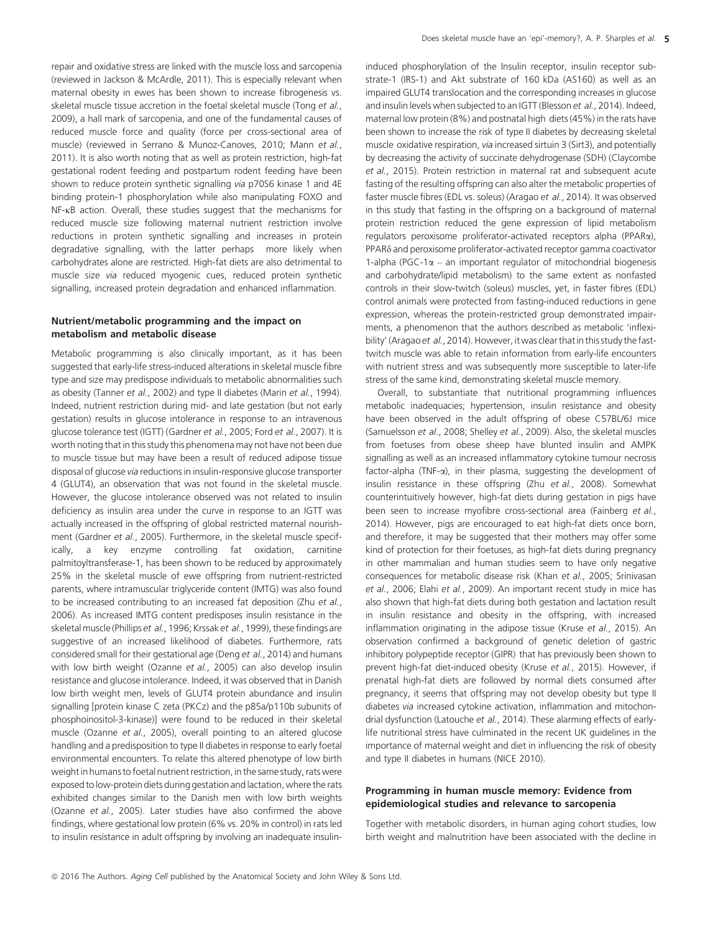repair and oxidative stress are linked with the muscle loss and sarcopenia (reviewed in Jackson & McArdle, 2011). This is especially relevant when maternal obesity in ewes has been shown to increase fibrogenesis vs. skeletal muscle tissue accretion in the foetal skeletal muscle (Tong et al., 2009), a hall mark of sarcopenia, and one of the fundamental causes of reduced muscle force and quality (force per cross-sectional area of muscle) (reviewed in Serrano & Munoz-Canoves, 2010; Mann et al., 2011). It is also worth noting that as well as protein restriction, high-fat gestational rodent feeding and postpartum rodent feeding have been shown to reduce protein synthetic signalling via p70S6 kinase 1 and 4E binding protein-1 phosphorylation while also manipulating FOXO and  $NF$ - $\kappa$ B action. Overall, these studies suggest that the mechanisms for reduced muscle size following maternal nutrient restriction involve reductions in protein synthetic signalling and increases in protein degradative signalling, with the latter perhaps more likely when carbohydrates alone are restricted. High-fat diets are also detrimental to muscle size via reduced myogenic cues, reduced protein synthetic signalling, increased protein degradation and enhanced inflammation.

## Nutrient/metabolic programming and the impact on metabolism and metabolic disease

Metabolic programming is also clinically important, as it has been suggested that early-life stress-induced alterations in skeletal muscle fibre type and size may predispose individuals to metabolic abnormalities such as obesity (Tanner et al., 2002) and type II diabetes (Marin et al., 1994). Indeed, nutrient restriction during mid- and late gestation (but not early gestation) results in glucose intolerance in response to an intravenous glucose tolerance test (IGTT) (Gardner et al., 2005; Ford et al., 2007). It is worth noting that in this study this phenomena may not have not been due to muscle tissue but may have been a result of reduced adipose tissue disposal of glucose via reductions in insulin-responsive glucose transporter 4 (GLUT4), an observation that was not found in the skeletal muscle. However, the glucose intolerance observed was not related to insulin deficiency as insulin area under the curve in response to an IGTT was actually increased in the offspring of global restricted maternal nourishment (Gardner et al., 2005). Furthermore, in the skeletal muscle specifically, a key enzyme controlling fat oxidation, carnitine palmitoyltransferase-1, has been shown to be reduced by approximately 25% in the skeletal muscle of ewe offspring from nutrient-restricted parents, where intramuscular triglyceride content (IMTG) was also found to be increased contributing to an increased fat deposition (Zhu et al., 2006). As increased IMTG content predisposes insulin resistance in the skeletal muscle (Phillips et al., 1996; Krssak et al., 1999), these findings are suggestive of an increased likelihood of diabetes. Furthermore, rats considered small for their gestational age (Deng et al., 2014) and humans with low birth weight (Ozanne et al., 2005) can also develop insulin resistance and glucose intolerance. Indeed, it was observed that in Danish low birth weight men, levels of GLUT4 protein abundance and insulin signalling [protein kinase C zeta (PKCz) and the p85a/p110b subunits of phosphoinositol-3-kinase)] were found to be reduced in their skeletal muscle (Ozanne et al., 2005), overall pointing to an altered glucose handling and a predisposition to type II diabetes in response to early foetal environmental encounters. To relate this altered phenotype of low birth weight in humans to foetal nutrient restriction, in the same study, rats were exposed to low-protein diets during gestation and lactation, where the rats exhibited changes similar to the Danish men with low birth weights (Ozanne et al., 2005). Later studies have also confirmed the above findings, where gestational low protein (6% vs. 20% in control) in rats led to insulin resistance in adult offspring by involving an inadequate insulininduced phosphorylation of the Insulin receptor, insulin receptor substrate-1 (IRS-1) and Akt substrate of 160 kDa (AS160) as well as an impaired GLUT4 translocation and the corresponding increases in glucose and insulin levels when subjected to an IGTT (Blesson et al., 2014). Indeed, maternal low protein (8%) and postnatal high diets (45%) in the rats have been shown to increase the risk of type II diabetes by decreasing skeletal muscle oxidative respiration, via increased sirtuin 3 (Sirt3), and potentially by decreasing the activity of succinate dehydrogenase (SDH) (Claycombe et al., 2015). Protein restriction in maternal rat and subsequent acute fasting of the resulting offspring can also alter the metabolic properties of faster muscle fibres (EDL vs. soleus) (Aragao et al., 2014). It was observed in this study that fasting in the offspring on a background of maternal protein restriction reduced the gene expression of lipid metabolism regulators peroxisome proliferator-activated receptors alpha (PPARa), PPARd and peroxisome proliferator-activated receptor gamma coactivator 1-alpha (PGC-1 $\alpha$  – an important regulator of mitochondrial biogenesis and carbohydrate/lipid metabolism) to the same extent as nonfasted controls in their slow-twitch (soleus) muscles, yet, in faster fibres (EDL) control animals were protected from fasting-induced reductions in gene expression, whereas the protein-restricted group demonstrated impairments, a phenomenon that the authors described as metabolic 'inflexibility' (Aragao et al., 2014). However, it was clear that in this study the fasttwitch muscle was able to retain information from early-life encounters with nutrient stress and was subsequently more susceptible to later-life stress of the same kind, demonstrating skeletal muscle memory.

Overall, to substantiate that nutritional programming influences metabolic inadequacies; hypertension, insulin resistance and obesity have been observed in the adult offspring of obese C57BL/6J mice (Samuelsson et al., 2008; Shelley et al., 2009). Also, the skeletal muscles from foetuses from obese sheep have blunted insulin and AMPK signalling as well as an increased inflammatory cytokine tumour necrosis factor-alpha (TNF-a), in their plasma, suggesting the development of insulin resistance in these offspring (Zhu et al., 2008). Somewhat counterintuitively however, high-fat diets during gestation in pigs have been seen to increase myofibre cross-sectional area (Fainberg et al., 2014). However, pigs are encouraged to eat high-fat diets once born, and therefore, it may be suggested that their mothers may offer some kind of protection for their foetuses, as high-fat diets during pregnancy in other mammalian and human studies seem to have only negative consequences for metabolic disease risk (Khan et al., 2005; Srinivasan et al., 2006; Elahi et al., 2009). An important recent study in mice has also shown that high-fat diets during both gestation and lactation result in insulin resistance and obesity in the offspring, with increased inflammation originating in the adipose tissue (Kruse et al., 2015). An observation confirmed a background of genetic deletion of gastric inhibitory polypeptide receptor (GIPR) that has previously been shown to prevent high-fat diet-induced obesity (Kruse et al., 2015). However, if prenatal high-fat diets are followed by normal diets consumed after pregnancy, it seems that offspring may not develop obesity but type II diabetes via increased cytokine activation, inflammation and mitochondrial dysfunction (Latouche et al., 2014). These alarming effects of earlylife nutritional stress have culminated in the recent UK guidelines in the importance of maternal weight and diet in influencing the risk of obesity and type II diabetes in humans (NICE 2010).

#### Programming in human muscle memory: Evidence from epidemiological studies and relevance to sarcopenia

Together with metabolic disorders, in human aging cohort studies, low birth weight and malnutrition have been associated with the decline in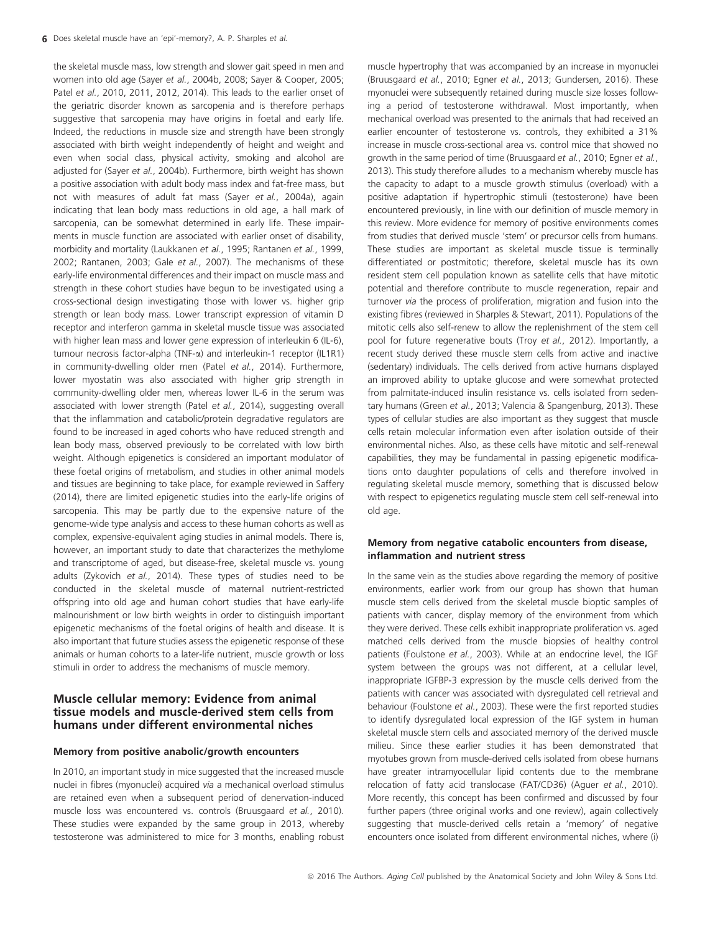the skeletal muscle mass, low strength and slower gait speed in men and women into old age (Sayer et al., 2004b, 2008; Sayer & Cooper, 2005; Patel et al., 2010, 2011, 2012, 2014). This leads to the earlier onset of the geriatric disorder known as sarcopenia and is therefore perhaps suggestive that sarcopenia may have origins in foetal and early life. Indeed, the reductions in muscle size and strength have been strongly associated with birth weight independently of height and weight and even when social class, physical activity, smoking and alcohol are adjusted for (Sayer et al., 2004b). Furthermore, birth weight has shown a positive association with adult body mass index and fat-free mass, but not with measures of adult fat mass (Sayer et al., 2004a), again indicating that lean body mass reductions in old age, a hall mark of sarcopenia, can be somewhat determined in early life. These impairments in muscle function are associated with earlier onset of disability, morbidity and mortality (Laukkanen et al., 1995; Rantanen et al., 1999, 2002; Rantanen, 2003; Gale et al., 2007). The mechanisms of these early-life environmental differences and their impact on muscle mass and strength in these cohort studies have begun to be investigated using a cross-sectional design investigating those with lower vs. higher grip strength or lean body mass. Lower transcript expression of vitamin D receptor and interferon gamma in skeletal muscle tissue was associated with higher lean mass and lower gene expression of interleukin 6 (IL-6), tumour necrosis factor-alpha (TNF-a) and interleukin-1 receptor (IL1R1) in community-dwelling older men (Patel et al., 2014). Furthermore, lower myostatin was also associated with higher grip strength in community-dwelling older men, whereas lower IL-6 in the serum was associated with lower strength (Patel et al., 2014), suggesting overall that the inflammation and catabolic/protein degradative regulators are found to be increased in aged cohorts who have reduced strength and lean body mass, observed previously to be correlated with low birth weight. Although epigenetics is considered an important modulator of these foetal origins of metabolism, and studies in other animal models and tissues are beginning to take place, for example reviewed in Saffery (2014), there are limited epigenetic studies into the early-life origins of sarcopenia. This may be partly due to the expensive nature of the genome-wide type analysis and access to these human cohorts as well as complex, expensive-equivalent aging studies in animal models. There is, however, an important study to date that characterizes the methylome and transcriptome of aged, but disease-free, skeletal muscle vs. young adults (Zykovich et al., 2014). These types of studies need to be conducted in the skeletal muscle of maternal nutrient-restricted offspring into old age and human cohort studies that have early-life malnourishment or low birth weights in order to distinguish important epigenetic mechanisms of the foetal origins of health and disease. It is also important that future studies assess the epigenetic response of these animals or human cohorts to a later-life nutrient, muscle growth or loss stimuli in order to address the mechanisms of muscle memory.

## Muscle cellular memory: Evidence from animal tissue models and muscle-derived stem cells from humans under different environmental niches

#### Memory from positive anabolic/growth encounters

In 2010, an important study in mice suggested that the increased muscle nuclei in fibres (myonuclei) acquired via a mechanical overload stimulus are retained even when a subsequent period of denervation-induced muscle loss was encountered vs. controls (Bruusgaard et al., 2010). These studies were expanded by the same group in 2013, whereby testosterone was administered to mice for 3 months, enabling robust muscle hypertrophy that was accompanied by an increase in myonuclei (Bruusgaard et al., 2010; Egner et al., 2013; Gundersen, 2016). These myonuclei were subsequently retained during muscle size losses following a period of testosterone withdrawal. Most importantly, when mechanical overload was presented to the animals that had received an earlier encounter of testosterone vs. controls, they exhibited a 31% increase in muscle cross-sectional area vs. control mice that showed no growth in the same period of time (Bruusgaard et al., 2010; Egner et al., 2013). This study therefore alludes to a mechanism whereby muscle has the capacity to adapt to a muscle growth stimulus (overload) with a positive adaptation if hypertrophic stimuli (testosterone) have been encountered previously, in line with our definition of muscle memory in this review. More evidence for memory of positive environments comes from studies that derived muscle 'stem' or precursor cells from humans. These studies are important as skeletal muscle tissue is terminally differentiated or postmitotic; therefore, skeletal muscle has its own resident stem cell population known as satellite cells that have mitotic potential and therefore contribute to muscle regeneration, repair and turnover via the process of proliferation, migration and fusion into the existing fibres (reviewed in Sharples & Stewart, 2011). Populations of the mitotic cells also self-renew to allow the replenishment of the stem cell pool for future regenerative bouts (Troy et al., 2012). Importantly, a recent study derived these muscle stem cells from active and inactive (sedentary) individuals. The cells derived from active humans displayed an improved ability to uptake glucose and were somewhat protected from palmitate-induced insulin resistance vs. cells isolated from sedentary humans (Green et al., 2013; Valencia & Spangenburg, 2013). These types of cellular studies are also important as they suggest that muscle cells retain molecular information even after isolation outside of their environmental niches. Also, as these cells have mitotic and self-renewal capabilities, they may be fundamental in passing epigenetic modifications onto daughter populations of cells and therefore involved in regulating skeletal muscle memory, something that is discussed below with respect to epigenetics regulating muscle stem cell self-renewal into old age.

### Memory from negative catabolic encounters from disease, inflammation and nutrient stress

In the same vein as the studies above regarding the memory of positive environments, earlier work from our group has shown that human muscle stem cells derived from the skeletal muscle bioptic samples of patients with cancer, display memory of the environment from which they were derived. These cells exhibit inappropriate proliferation vs. aged matched cells derived from the muscle biopsies of healthy control patients (Foulstone et al., 2003). While at an endocrine level, the IGF system between the groups was not different, at a cellular level, inappropriate IGFBP-3 expression by the muscle cells derived from the patients with cancer was associated with dysregulated cell retrieval and behaviour (Foulstone et al., 2003). These were the first reported studies to identify dysregulated local expression of the IGF system in human skeletal muscle stem cells and associated memory of the derived muscle milieu. Since these earlier studies it has been demonstrated that myotubes grown from muscle-derived cells isolated from obese humans have greater intramyocellular lipid contents due to the membrane relocation of fatty acid translocase (FAT/CD36) (Aguer et al., 2010). More recently, this concept has been confirmed and discussed by four further papers (three original works and one review), again collectively suggesting that muscle-derived cells retain a 'memory' of negative encounters once isolated from different environmental niches, where (i)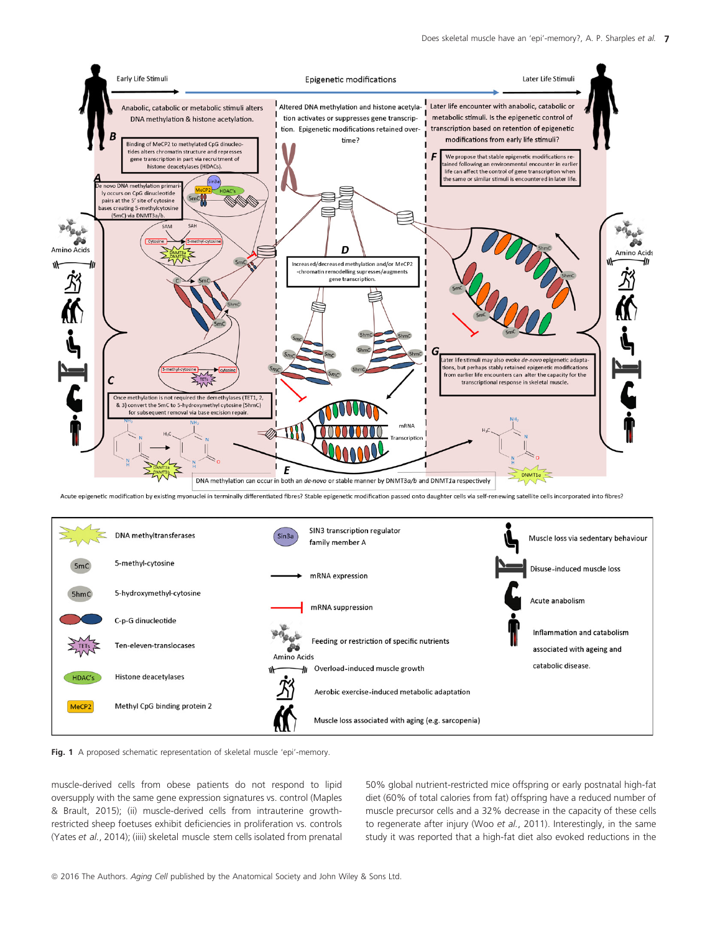

Acute epigenetic modification by existing myonuclei in terminally differentiated fibres? Stable epigenetic modification passed onto daughter cells via self-renewing satellite cells incorporated into fibres?





muscle-derived cells from obese patients do not respond to lipid oversupply with the same gene expression signatures vs. control (Maples & Brault, 2015); (ii) muscle-derived cells from intrauterine growthrestricted sheep foetuses exhibit deficiencies in proliferation vs. controls (Yates et al., 2014); (iiii) skeletal muscle stem cells isolated from prenatal

50% global nutrient-restricted mice offspring or early postnatal high-fat diet (60% of total calories from fat) offspring have a reduced number of muscle precursor cells and a 32% decrease in the capacity of these cells to regenerate after injury (Woo et al., 2011). Interestingly, in the same study it was reported that a high-fat diet also evoked reductions in the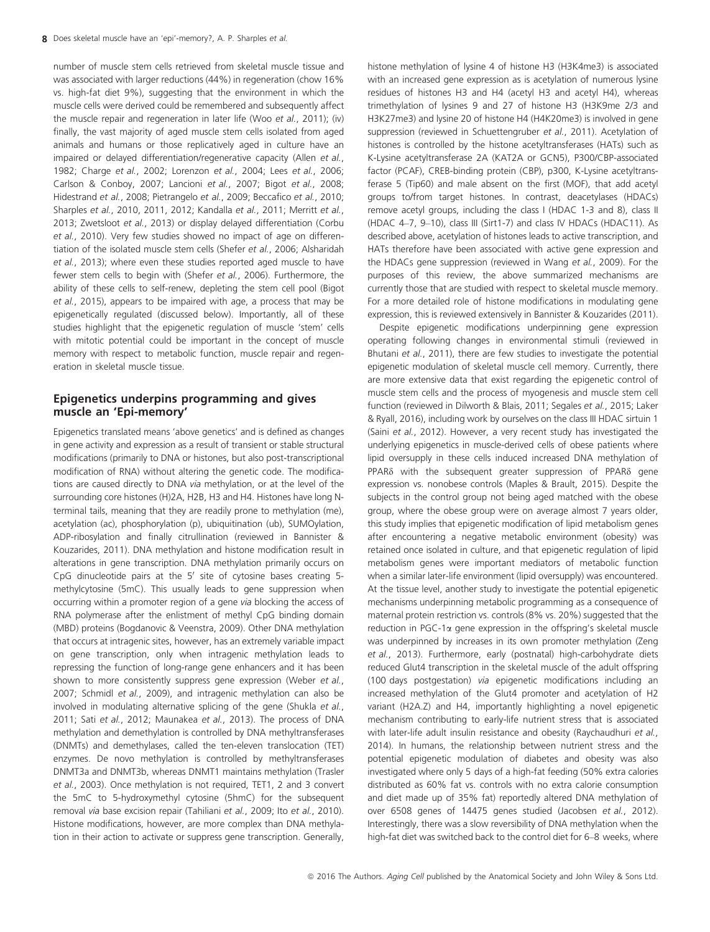number of muscle stem cells retrieved from skeletal muscle tissue and was associated with larger reductions (44%) in regeneration (chow 16% vs. high-fat diet 9%), suggesting that the environment in which the muscle cells were derived could be remembered and subsequently affect the muscle repair and regeneration in later life (Woo et al., 2011); (iv) finally, the vast majority of aged muscle stem cells isolated from aged animals and humans or those replicatively aged in culture have an impaired or delayed differentiation/regenerative capacity (Allen et al., 1982; Charge et al., 2002; Lorenzon et al., 2004; Lees et al., 2006; Carlson & Conboy, 2007; Lancioni et al., 2007; Bigot et al., 2008; Hidestrand et al., 2008; Pietrangelo et al., 2009; Beccafico et al., 2010; Sharples et al., 2010, 2011, 2012; Kandalla et al., 2011; Merritt et al., 2013; Zwetsloot et al., 2013) or display delayed differentiation (Corbu et al., 2010). Very few studies showed no impact of age on differentiation of the isolated muscle stem cells (Shefer et al., 2006; Alsharidah et al., 2013); where even these studies reported aged muscle to have fewer stem cells to begin with (Shefer et al., 2006). Furthermore, the ability of these cells to self-renew, depleting the stem cell pool (Bigot et al., 2015), appears to be impaired with age, a process that may be epigenetically regulated (discussed below). Importantly, all of these studies highlight that the epigenetic regulation of muscle 'stem' cells with mitotic potential could be important in the concept of muscle memory with respect to metabolic function, muscle repair and regeneration in skeletal muscle tissue.

## Epigenetics underpins programming and gives muscle an 'Epi-memory'

Epigenetics translated means 'above genetics' and is defined as changes in gene activity and expression as a result of transient or stable structural modifications (primarily to DNA or histones, but also post-transcriptional modification of RNA) without altering the genetic code. The modifications are caused directly to DNA via methylation, or at the level of the surrounding core histones (H)2A, H2B, H3 and H4. Histones have long Nterminal tails, meaning that they are readily prone to methylation (me), acetylation (ac), phosphorylation (p), ubiquitination (ub), SUMOylation, ADP-ribosylation and finally citrullination (reviewed in Bannister & Kouzarides, 2011). DNA methylation and histone modification result in alterations in gene transcription. DNA methylation primarily occurs on CpG dinucleotide pairs at the 5' site of cytosine bases creating 5methylcytosine (5mC). This usually leads to gene suppression when occurring within a promoter region of a gene via blocking the access of RNA polymerase after the enlistment of methyl CpG binding domain (MBD) proteins (Bogdanovic & Veenstra, 2009). Other DNA methylation that occurs at intragenic sites, however, has an extremely variable impact on gene transcription, only when intragenic methylation leads to repressing the function of long-range gene enhancers and it has been shown to more consistently suppress gene expression (Weber et al., 2007; Schmidl et al., 2009), and intragenic methylation can also be involved in modulating alternative splicing of the gene (Shukla et al., 2011; Sati et al., 2012; Maunakea et al., 2013). The process of DNA methylation and demethylation is controlled by DNA methyltransferases (DNMTs) and demethylases, called the ten-eleven translocation (TET) enzymes. De novo methylation is controlled by methyltransferases DNMT3a and DNMT3b, whereas DNMT1 maintains methylation (Trasler et al., 2003). Once methylation is not required, TET1, 2 and 3 convert the 5mC to 5-hydroxymethyl cytosine (5hmC) for the subsequent removal via base excision repair (Tahiliani et al., 2009; Ito et al., 2010). Histone modifications, however, are more complex than DNA methylation in their action to activate or suppress gene transcription. Generally,

histone methylation of lysine 4 of histone H3 (H3K4me3) is associated with an increased gene expression as is acetylation of numerous lysine residues of histones H3 and H4 (acetyl H3 and acetyl H4), whereas trimethylation of lysines 9 and 27 of histone H3 (H3K9me 2/3 and H3K27me3) and lysine 20 of histone H4 (H4K20me3) is involved in gene suppression (reviewed in Schuettengruber et al., 2011). Acetylation of histones is controlled by the histone acetyltransferases (HATs) such as K-Lysine acetyltransferase 2A (KAT2A or GCN5), P300/CBP-associated factor (PCAF), CREB-binding protein (CBP), p300, K-Lysine acetyltransferase 5 (Tip60) and male absent on the first (MOF), that add acetyl groups to/from target histones. In contrast, deacetylases (HDACs) remove acetyl groups, including the class I (HDAC 1-3 and 8), class II (HDAC 4–7, 9–10), class III (Sirt1-7) and class IV HDACs (HDAC11). As described above, acetylation of histones leads to active transcription, and HATs therefore have been associated with active gene expression and the HDACs gene suppression (reviewed in Wang et al., 2009). For the purposes of this review, the above summarized mechanisms are currently those that are studied with respect to skeletal muscle memory. For a more detailed role of histone modifications in modulating gene expression, this is reviewed extensively in Bannister & Kouzarides (2011).

Despite epigenetic modifications underpinning gene expression operating following changes in environmental stimuli (reviewed in Bhutani et al., 2011), there are few studies to investigate the potential epigenetic modulation of skeletal muscle cell memory. Currently, there are more extensive data that exist regarding the epigenetic control of muscle stem cells and the process of myogenesis and muscle stem cell function (reviewed in Dilworth & Blais, 2011; Segales et al., 2015; Laker & Ryall, 2016), including work by ourselves on the class III HDAC sirtuin 1 (Saini et al., 2012). However, a very recent study has investigated the underlying epigenetics in muscle-derived cells of obese patients where lipid oversupply in these cells induced increased DNA methylation of PPAR<sub>8</sub> with the subsequent greater suppression of PPAR<sub>8</sub> gene expression vs. nonobese controls (Maples & Brault, 2015). Despite the subjects in the control group not being aged matched with the obese group, where the obese group were on average almost 7 years older, this study implies that epigenetic modification of lipid metabolism genes after encountering a negative metabolic environment (obesity) was retained once isolated in culture, and that epigenetic regulation of lipid metabolism genes were important mediators of metabolic function when a similar later-life environment (lipid oversupply) was encountered. At the tissue level, another study to investigate the potential epigenetic mechanisms underpinning metabolic programming as a consequence of maternal protein restriction vs. controls (8% vs. 20%) suggested that the reduction in PGC-1a gene expression in the offspring's skeletal muscle was underpinned by increases in its own promoter methylation (Zeng et al., 2013). Furthermore, early (postnatal) high-carbohydrate diets reduced Glut4 transcription in the skeletal muscle of the adult offspring (100 days postgestation) via epigenetic modifications including an increased methylation of the Glut4 promoter and acetylation of H2 variant (H2A.Z) and H4, importantly highlighting a novel epigenetic mechanism contributing to early-life nutrient stress that is associated with later-life adult insulin resistance and obesity (Raychaudhuri et al., 2014). In humans, the relationship between nutrient stress and the potential epigenetic modulation of diabetes and obesity was also investigated where only 5 days of a high-fat feeding (50% extra calories distributed as 60% fat vs. controls with no extra calorie consumption and diet made up of 35% fat) reportedly altered DNA methylation of over 6508 genes of 14475 genes studied (Jacobsen et al., 2012). Interestingly, there was a slow reversibility of DNA methylation when the high-fat diet was switched back to the control diet for 6–8 weeks, where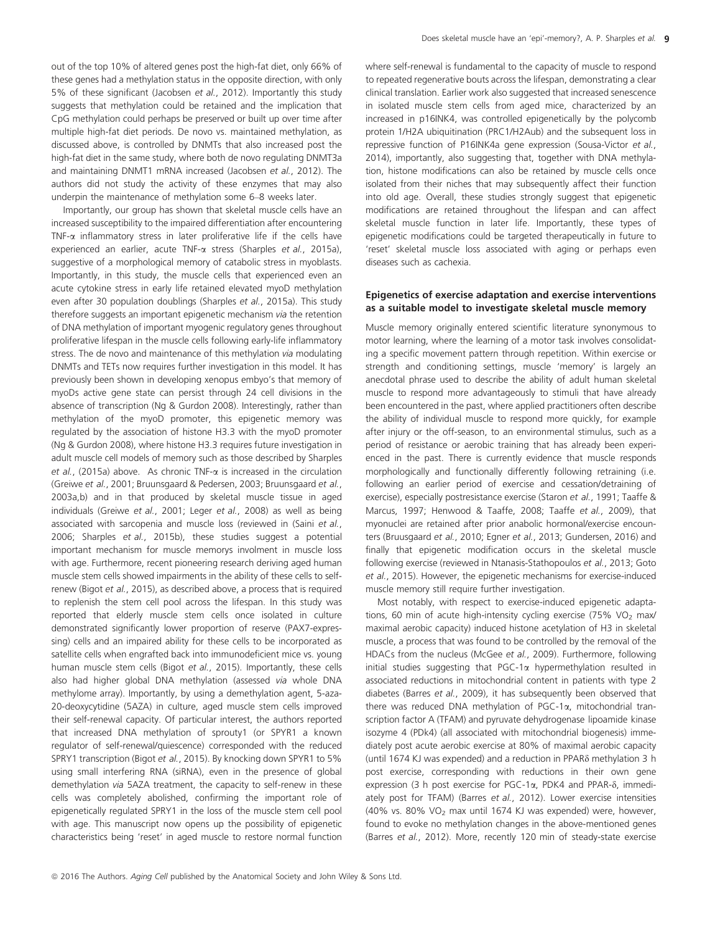out of the top 10% of altered genes post the high-fat diet, only 66% of these genes had a methylation status in the opposite direction, with only 5% of these significant (Jacobsen et al., 2012). Importantly this study suggests that methylation could be retained and the implication that CpG methylation could perhaps be preserved or built up over time after multiple high-fat diet periods. De novo vs. maintained methylation, as discussed above, is controlled by DNMTs that also increased post the high-fat diet in the same study, where both de novo regulating DNMT3a and maintaining DNMT1 mRNA increased (Jacobsen et al., 2012). The authors did not study the activity of these enzymes that may also underpin the maintenance of methylation some 6–8 weeks later.

Importantly, our group has shown that skeletal muscle cells have an increased susceptibility to the impaired differentiation after encountering TNF- $\alpha$  inflammatory stress in later proliferative life if the cells have experienced an earlier, acute TNF-a stress (Sharples et al., 2015a), suggestive of a morphological memory of catabolic stress in myoblasts. Importantly, in this study, the muscle cells that experienced even an acute cytokine stress in early life retained elevated myoD methylation even after 30 population doublings (Sharples et al., 2015a). This study therefore suggests an important epigenetic mechanism via the retention of DNA methylation of important myogenic regulatory genes throughout proliferative lifespan in the muscle cells following early-life inflammatory stress. The de novo and maintenance of this methylation via modulating DNMTs and TETs now requires further investigation in this model. It has previously been shown in developing xenopus embyo's that memory of myoDs active gene state can persist through 24 cell divisions in the absence of transcription (Ng & Gurdon 2008). Interestingly, rather than methylation of the myoD promoter, this epigenetic memory was regulated by the association of histone H3.3 with the myoD promoter (Ng & Gurdon 2008), where histone H3.3 requires future investigation in adult muscle cell models of memory such as those described by Sharples et al., (2015a) above. As chronic TNF- $\alpha$  is increased in the circulation (Greiwe et al., 2001; Bruunsgaard & Pedersen, 2003; Bruunsgaard et al., 2003a,b) and in that produced by skeletal muscle tissue in aged individuals (Greiwe et al., 2001; Leger et al., 2008) as well as being associated with sarcopenia and muscle loss (reviewed in (Saini et al., 2006; Sharples et al., 2015b), these studies suggest a potential important mechanism for muscle memorys involment in muscle loss with age. Furthermore, recent pioneering research deriving aged human muscle stem cells showed impairments in the ability of these cells to selfrenew (Bigot et al., 2015), as described above, a process that is required to replenish the stem cell pool across the lifespan. In this study was reported that elderly muscle stem cells once isolated in culture demonstrated significantly lower proportion of reserve (PAX7-expressing) cells and an impaired ability for these cells to be incorporated as satellite cells when engrafted back into immunodeficient mice vs. young human muscle stem cells (Bigot et al., 2015). Importantly, these cells also had higher global DNA methylation (assessed via whole DNA methylome array). Importantly, by using a demethylation agent, 5-aza-20-deoxycytidine (5AZA) in culture, aged muscle stem cells improved their self-renewal capacity. Of particular interest, the authors reported that increased DNA methylation of sprouty1 (or SPYR1 a known regulator of self-renewal/quiescence) corresponded with the reduced SPRY1 transcription (Bigot et al., 2015). By knocking down SPYR1 to 5% using small interfering RNA (siRNA), even in the presence of global demethylation via 5AZA treatment, the capacity to self-renew in these cells was completely abolished, confirming the important role of epigenetically regulated SPRY1 in the loss of the muscle stem cell pool with age. This manuscript now opens up the possibility of epigenetic characteristics being 'reset' in aged muscle to restore normal function

where self-renewal is fundamental to the capacity of muscle to respond to repeated regenerative bouts across the lifespan, demonstrating a clear clinical translation. Earlier work also suggested that increased senescence in isolated muscle stem cells from aged mice, characterized by an increased in p16INK4, was controlled epigenetically by the polycomb protein 1/H2A ubiquitination (PRC1/H2Aub) and the subsequent loss in repressive function of P16INK4a gene expression (Sousa-Victor et al., 2014), importantly, also suggesting that, together with DNA methylation, histone modifications can also be retained by muscle cells once isolated from their niches that may subsequently affect their function into old age. Overall, these studies strongly suggest that epigenetic modifications are retained throughout the lifespan and can affect skeletal muscle function in later life. Importantly, these types of epigenetic modifications could be targeted therapeutically in future to 'reset' skeletal muscle loss associated with aging or perhaps even diseases such as cachexia.

#### Epigenetics of exercise adaptation and exercise interventions as a suitable model to investigate skeletal muscle memory

Muscle memory originally entered scientific literature synonymous to motor learning, where the learning of a motor task involves consolidating a specific movement pattern through repetition. Within exercise or strength and conditioning settings, muscle 'memory' is largely an anecdotal phrase used to describe the ability of adult human skeletal muscle to respond more advantageously to stimuli that have already been encountered in the past, where applied practitioners often describe the ability of individual muscle to respond more quickly, for example after injury or the off-season, to an environmental stimulus, such as a period of resistance or aerobic training that has already been experienced in the past. There is currently evidence that muscle responds morphologically and functionally differently following retraining (i.e. following an earlier period of exercise and cessation/detraining of exercise), especially postresistance exercise (Staron et al., 1991; Taaffe & Marcus, 1997; Henwood & Taaffe, 2008; Taaffe et al., 2009), that myonuclei are retained after prior anabolic hormonal/exercise encounters (Bruusgaard et al., 2010; Egner et al., 2013; Gundersen, 2016) and finally that epigenetic modification occurs in the skeletal muscle following exercise (reviewed in Ntanasis-Stathopoulos et al., 2013; Goto et al., 2015). However, the epigenetic mechanisms for exercise-induced muscle memory still require further investigation.

Most notably, with respect to exercise-induced epigenetic adaptations, 60 min of acute high-intensity cycling exercise (75% VO<sub>2</sub> max/ maximal aerobic capacity) induced histone acetylation of H3 in skeletal muscle, a process that was found to be controlled by the removal of the HDACs from the nucleus (McGee et al., 2009). Furthermore, following initial studies suggesting that PGC-1a hypermethylation resulted in associated reductions in mitochondrial content in patients with type 2 diabetes (Barres et al., 2009), it has subsequently been observed that there was reduced DNA methylation of PGC-1a, mitochondrial transcription factor A (TFAM) and pyruvate dehydrogenase lipoamide kinase isozyme 4 (PDk4) (all associated with mitochondrial biogenesis) immediately post acute aerobic exercise at 80% of maximal aerobic capacity (until 1674 KJ was expended) and a reduction in PPARd methylation 3 h post exercise, corresponding with reductions in their own gene expression (3 h post exercise for PGC-1 $\alpha$ , PDK4 and PPAR- $\delta$ , immediately post for TFAM) (Barres et al., 2012). Lower exercise intensities (40% vs. 80% VO<sub>2</sub> max until 1674 KJ was expended) were, however, found to evoke no methylation changes in the above-mentioned genes (Barres et al., 2012). More, recently 120 min of steady-state exercise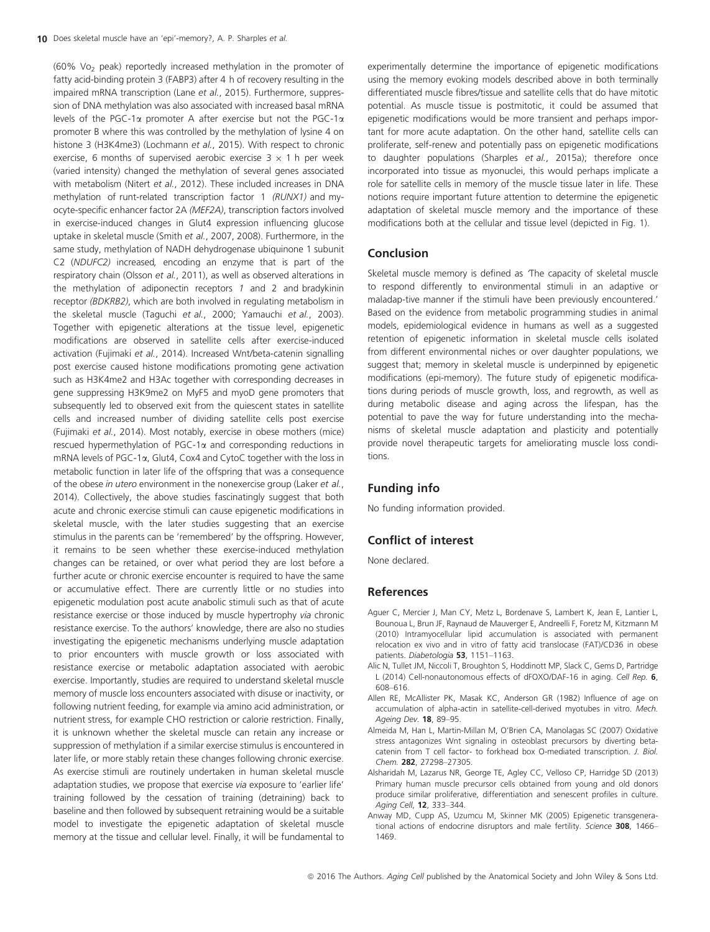(60% Vo2 peak) reportedly increased methylation in the promoter of fatty acid-binding protein 3 (FABP3) after 4 h of recovery resulting in the impaired mRNA transcription (Lane et al., 2015). Furthermore, suppression of DNA methylation was also associated with increased basal mRNA levels of the PGC-1a promoter A after exercise but not the PGC-1a promoter B where this was controlled by the methylation of lysine 4 on histone 3 (H3K4me3) (Lochmann et al., 2015). With respect to chronic exercise, 6 months of supervised aerobic exercise  $3 \times 1$  h per week (varied intensity) changed the methylation of several genes associated with metabolism (Nitert et al., 2012). These included increases in DNA methylation of runt-related transcription factor 1 (RUNX1) and myocyte-specific enhancer factor 2A (MEF2A), transcription factors involved in exercise-induced changes in Glut4 expression influencing glucose uptake in skeletal muscle (Smith et al., 2007, 2008). Furthermore, in the same study, methylation of NADH dehydrogenase ubiquinone 1 subunit C2 (NDUFC2) increased, encoding an enzyme that is part of the respiratory chain (Olsson et al., 2011), as well as observed alterations in the methylation of adiponectin receptors 1 and 2 and bradykinin receptor (BDKRB2), which are both involved in regulating metabolism in the skeletal muscle (Taguchi et al., 2000; Yamauchi et al., 2003). Together with epigenetic alterations at the tissue level, epigenetic modifications are observed in satellite cells after exercise-induced activation (Fujimaki et al., 2014). Increased Wnt/beta-catenin signalling post exercise caused histone modifications promoting gene activation such as H3K4me2 and H3Ac together with corresponding decreases in gene suppressing H3K9me2 on MyF5 and myoD gene promoters that subsequently led to observed exit from the quiescent states in satellite cells and increased number of dividing satellite cells post exercise (Fujimaki et al., 2014). Most notably, exercise in obese mothers (mice) rescued hypermethylation of PGC-1a and corresponding reductions in mRNA levels of PGC-1a, Glut4, Cox4 and CytoC together with the loss in metabolic function in later life of the offspring that was a consequence of the obese in utero environment in the nonexercise group (Laker et al., 2014). Collectively, the above studies fascinatingly suggest that both acute and chronic exercise stimuli can cause epigenetic modifications in skeletal muscle, with the later studies suggesting that an exercise stimulus in the parents can be 'remembered' by the offspring. However, it remains to be seen whether these exercise-induced methylation changes can be retained, or over what period they are lost before a further acute or chronic exercise encounter is required to have the same or accumulative effect. There are currently little or no studies into epigenetic modulation post acute anabolic stimuli such as that of acute resistance exercise or those induced by muscle hypertrophy via chronic resistance exercise. To the authors' knowledge, there are also no studies investigating the epigenetic mechanisms underlying muscle adaptation to prior encounters with muscle growth or loss associated with resistance exercise or metabolic adaptation associated with aerobic exercise. Importantly, studies are required to understand skeletal muscle memory of muscle loss encounters associated with disuse or inactivity, or following nutrient feeding, for example via amino acid administration, or nutrient stress, for example CHO restriction or calorie restriction. Finally, it is unknown whether the skeletal muscle can retain any increase or suppression of methylation if a similar exercise stimulus is encountered in later life, or more stably retain these changes following chronic exercise. As exercise stimuli are routinely undertaken in human skeletal muscle adaptation studies, we propose that exercise via exposure to 'earlier life' training followed by the cessation of training (detraining) back to baseline and then followed by subsequent retraining would be a suitable model to investigate the epigenetic adaptation of skeletal muscle memory at the tissue and cellular level. Finally, it will be fundamental to

experimentally determine the importance of epigenetic modifications using the memory evoking models described above in both terminally differentiated muscle fibres/tissue and satellite cells that do have mitotic potential. As muscle tissue is postmitotic, it could be assumed that epigenetic modifications would be more transient and perhaps important for more acute adaptation. On the other hand, satellite cells can proliferate, self-renew and potentially pass on epigenetic modifications to daughter populations (Sharples et al., 2015a); therefore once incorporated into tissue as myonuclei, this would perhaps implicate a role for satellite cells in memory of the muscle tissue later in life. These notions require important future attention to determine the epigenetic adaptation of skeletal muscle memory and the importance of these modifications both at the cellular and tissue level (depicted in Fig. 1).

#### Conclusion

Skeletal muscle memory is defined as 'The capacity of skeletal muscle to respond differently to environmental stimuli in an adaptive or maladap-tive manner if the stimuli have been previously encountered.' Based on the evidence from metabolic programming studies in animal models, epidemiological evidence in humans as well as a suggested retention of epigenetic information in skeletal muscle cells isolated from different environmental niches or over daughter populations, we suggest that; memory in skeletal muscle is underpinned by epigenetic modifications (epi-memory). The future study of epigenetic modifications during periods of muscle growth, loss, and regrowth, as well as during metabolic disease and aging across the lifespan, has the potential to pave the way for future understanding into the mechanisms of skeletal muscle adaptation and plasticity and potentially provide novel therapeutic targets for ameliorating muscle loss conditions.

## Funding info

No funding information provided.

#### Conflict of interest

None declared.

#### References

- Aguer C, Mercier J, Man CY, Metz L, Bordenave S, Lambert K, Jean E, Lantier L, Bounoua L, Brun JF, Raynaud de Mauverger E, Andreelli F, Foretz M, Kitzmann M (2010) Intramyocellular lipid accumulation is associated with permanent relocation ex vivo and in vitro of fatty acid translocase (FAT)/CD36 in obese patients. Diabetologia 53, 1151-1163.
- Alic N, Tullet JM, Niccoli T, Broughton S, Hoddinott MP, Slack C, Gems D, Partridge L (2014) Cell-nonautonomous effects of dFOXO/DAF-16 in aging. Cell Rep. 6, 608–616.
- Allen RE, McAllister PK, Masak KC, Anderson GR (1982) Influence of age on accumulation of alpha-actin in satellite-cell-derived myotubes in vitro. Mech. Ageing Dev. 18, 89–95.
- Almeida M, Han L, Martin-Millan M, O'Brien CA, Manolagas SC (2007) Oxidative stress antagonizes Wnt signaling in osteoblast precursors by diverting betacatenin from T cell factor- to forkhead box O-mediated transcription. J. Biol. Chem. 282, 27298–27305.
- Alsharidah M, Lazarus NR, George TE, Agley CC, Velloso CP, Harridge SD (2013) Primary human muscle precursor cells obtained from young and old donors produce similar proliferative, differentiation and senescent profiles in culture. Aging Cell, 12, 333–344.
- Anway MD, Cupp AS, Uzumcu M, Skinner MK (2005) Epigenetic transgenerational actions of endocrine disruptors and male fertility. Science 308, 1466– 1469.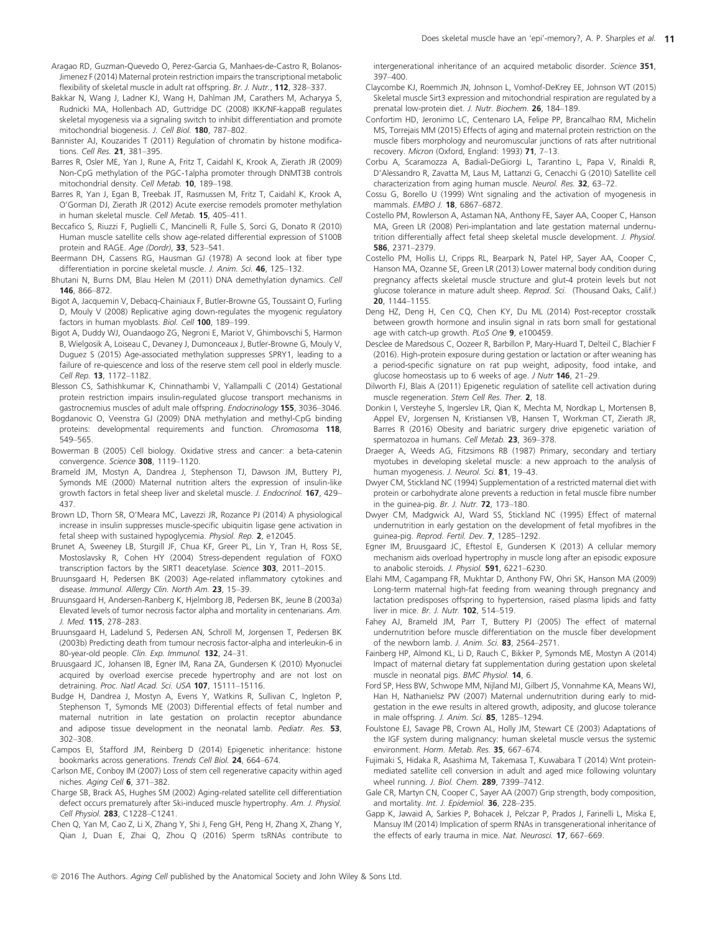- Aragao RD, Guzman-Quevedo O, Perez-Garcia G, Manhaes-de-Castro R, Bolanos-Jimenez F (2014) Maternal protein restriction impairs the transcriptional metabolic flexibility of skeletal muscle in adult rat offspring. Br. J. Nutr., 112, 328–337.
- Bakkar N, Wang J, Ladner KJ, Wang H, Dahlman JM, Carathers M, Acharyya S, Rudnicki MA, Hollenbach AD, Guttridge DC (2008) IKK/NF-kappaB regulates skeletal myogenesis via a signaling switch to inhibit differentiation and promote mitochondrial biogenesis. J. Cell Biol. 180, 787–802.
- Bannister AJ, Kouzarides T (2011) Regulation of chromatin by histone modifications. Cell Res. 21, 381–395.
- Barres R, Osler ME, Yan J, Rune A, Fritz T, Caidahl K, Krook A, Zierath JR (2009) Non-CpG methylation of the PGC-1alpha promoter through DNMT3B controls mitochondrial density. Cell Metab. 10, 189–198.
- Barres R, Yan J, Egan B, Treebak JT, Rasmussen M, Fritz T, Caidahl K, Krook A, O'Gorman DJ, Zierath JR (2012) Acute exercise remodels promoter methylation in human skeletal muscle. Cell Metab. 15, 405–411.
- Beccafico S, Riuzzi F, Puglielli C, Mancinelli R, Fulle S, Sorci G, Donato R (2010) Human muscle satellite cells show age-related differential expression of S100B protein and RAGE. Age (Dordr), 33, 523-541.
- Beermann DH, Cassens RG, Hausman GJ (1978) A second look at fiber type differentiation in porcine skeletal muscle. J. Anim. Sci. 46, 125-132.
- Bhutani N, Burns DM, Blau Helen M (2011) DNA demethylation dynamics. Cell 146, 866–872.
- Bigot A, Jacquemin V, Debacq-Chainiaux F, Butler-Browne GS, Toussaint O, Furling D, Mouly V (2008) Replicative aging down-regulates the myogenic regulatory factors in human myoblasts. Biol. Cell 100, 189-199.
- Bigot A, Duddy WJ, Ouandaogo ZG, Negroni E, Mariot V, Ghimbovschi S, Harmon B, Wielgosik A, Loiseau C, Devaney J, Dumonceaux J, Butler-Browne G, Mouly V, Duguez S (2015) Age-associated methylation suppresses SPRY1, leading to a failure of re-quiescence and loss of the reserve stem cell pool in elderly muscle. Cell Rep. 13, 1172–1182.
- Blesson CS, Sathishkumar K, Chinnathambi V, Yallampalli C (2014) Gestational protein restriction impairs insulin-regulated glucose transport mechanisms in gastrocnemius muscles of adult male offspring. Endocrinology 155, 3036–3046.
- Bogdanovic O, Veenstra GJ (2009) DNA methylation and methyl-CpG binding proteins: developmental requirements and function. Chromosoma 118, 549–565.
- Bowerman B (2005) Cell biology. Oxidative stress and cancer: a beta-catenin convergence. Science 308, 1119-1120.
- Brameld JM, Mostyn A, Dandrea J, Stephenson TJ, Dawson JM, Buttery PJ, Symonds ME (2000) Maternal nutrition alters the expression of insulin-like growth factors in fetal sheep liver and skeletal muscle. J. Endocrinol. 167, 429-437.
- Brown LD, Thorn SR, O'Meara MC, Lavezzi JR, Rozance PJ (2014) A physiological increase in insulin suppresses muscle-specific ubiquitin ligase gene activation in fetal sheep with sustained hypoglycemia. Physiol. Rep. 2, e12045.
- Brunet A, Sweeney LB, Sturgill JF, Chua KF, Greer PL, Lin Y, Tran H, Ross SE, Mostoslavsky R, Cohen HY (2004) Stress-dependent regulation of FOXO transcription factors by the SIRT1 deacetylase. Science 303, 2011-2015.
- Bruunsgaard H, Pedersen BK (2003) Age-related inflammatory cytokines and disease. Immunol. Allergy Clin. North Am. 23, 15-39.
- Bruunsgaard H, Andersen-Ranberg K, Hjelmborg JB, Pedersen BK, Jeune B (2003a) Elevated levels of tumor necrosis factor alpha and mortality in centenarians. Am. J. Med. 115, 278–283.
- Bruunsgaard H, Ladelund S, Pedersen AN, Schroll M, Jorgensen T, Pedersen BK (2003b) Predicting death from tumour necrosis factor-alpha and interleukin-6 in 80-year-old people. Clin. Exp. Immunol. 132, 24-31.
- Bruusgaard JC, Johansen IB, Egner IM, Rana ZA, Gundersen K (2010) Myonuclei acquired by overload exercise precede hypertrophy and are not lost on detraining. Proc. Natl Acad. Sci. USA 107, 15111-15116.
- Budge H, Dandrea J, Mostyn A, Evens Y, Watkins R, Sullivan C, Ingleton P, Stephenson T, Symonds ME (2003) Differential effects of fetal number and maternal nutrition in late gestation on prolactin receptor abundance and adipose tissue development in the neonatal lamb. Pediatr. Res. 53, 302–308.
- Campos EI, Stafford JM, Reinberg D (2014) Epigenetic inheritance: histone bookmarks across generations. Trends Cell Biol. 24, 664–674.
- Carlson ME, Conboy IM (2007) Loss of stem cell regenerative capacity within aged niches. Aging Cell 6, 371-382.
- Charge SB, Brack AS, Hughes SM (2002) Aging-related satellite cell differentiation defect occurs prematurely after Ski-induced muscle hypertrophy. Am. J. Physiol. Cell Physiol. 283, C1228–C1241.
- Chen Q, Yan M, Cao Z, Li X, Zhang Y, Shi J, Feng GH, Peng H, Zhang X, Zhang Y, Qian J, Duan E, Zhai Q, Zhou Q (2016) Sperm tsRNAs contribute to

intergenerational inheritance of an acquired metabolic disorder. Science 351, 397–400.

- Claycombe KJ, Roemmich JN, Johnson L, Vomhof-DeKrey EE, Johnson WT (2015) Skeletal muscle Sirt3 expression and mitochondrial respiration are regulated by a prenatal low-protein diet. J. Nutr. Biochem. 26, 184–189.
- Confortim HD, Jeronimo LC, Centenaro LA, Felipe PP, Brancalhao RM, Michelin MS, Torrejais MM (2015) Effects of aging and maternal protein restriction on the muscle fibers morphology and neuromuscular junctions of rats after nutritional recovery. Micron (Oxford, England: 1993) 71, 7–13.
- Corbu A, Scaramozza A, Badiali-DeGiorgi L, Tarantino L, Papa V, Rinaldi R, D'Alessandro R, Zavatta M, Laus M, Lattanzi G, Cenacchi G (2010) Satellite cell characterization from aging human muscle. Neurol. Res. 32, 63–72.
- Cossu G, Borello U (1999) Wnt signaling and the activation of myogenesis in mammals. EMBO J. 18, 6867–6872.
- Costello PM, Rowlerson A, Astaman NA, Anthony FE, Sayer AA, Cooper C, Hanson MA, Green LR (2008) Peri-implantation and late gestation maternal undernutrition differentially affect fetal sheep skeletal muscle development. J. Physiol. 586, 2371–2379.
- Costello PM, Hollis LJ, Cripps RL, Bearpark N, Patel HP, Sayer AA, Cooper C, Hanson MA, Ozanne SE, Green LR (2013) Lower maternal body condition during pregnancy affects skeletal muscle structure and glut-4 protein levels but not glucose tolerance in mature adult sheep. Reprod. Sci. (Thousand Oaks, Calif.) 20, 1144–1155.
- Deng HZ, Deng H, Cen CQ, Chen KY, Du ML (2014) Post-receptor crosstalk between growth hormone and insulin signal in rats born small for gestational age with catch-up growth. PLoS One 9, e100459.
- Desclee de Maredsous C, Oozeer R, Barbillon P, Mary-Huard T, Delteil C, Blachier F (2016). High-protein exposure during gestation or lactation or after weaning has a period-specific signature on rat pup weight, adiposity, food intake, and glucose homeostasis up to 6 weeks of age. J Nutr 146, 21-29.
- Dilworth FJ, Blais A (2011) Epigenetic regulation of satellite cell activation during muscle regeneration. Stem Cell Res. Ther. 2, 18.
- Donkin I, Versteyhe S, Ingerslev LR, Qian K, Mechta M, Nordkap L, Mortensen B, Appel EV, Jorgensen N, Kristiansen VB, Hansen T, Workman CT, Zierath JR, Barres R (2016) Obesity and bariatric surgery drive epigenetic variation of spermatozoa in humans. Cell Metab. 23, 369-378.
- Draeger A, Weeds AG, Fitzsimons RB (1987) Primary, secondary and tertiary myotubes in developing skeletal muscle: a new approach to the analysis of human myogenesis. J. Neurol. Sci. 81, 19-43.
- Dwyer CM, Stickland NC (1994) Supplementation of a restricted maternal diet with protein or carbohydrate alone prevents a reduction in fetal muscle fibre number in the guinea-pig. Br. J. Nutr. 72, 173-180.
- Dwyer CM, Madgwick AJ, Ward SS, Stickland NC (1995) Effect of maternal undernutrition in early gestation on the development of fetal myofibres in the guinea-pig. Reprod. Fertil. Dev. 7, 1285–1292.
- Egner IM, Bruusgaard JC, Eftestol E, Gundersen K (2013) A cellular memory mechanism aids overload hypertrophy in muscle long after an episodic exposure to anabolic steroids. J. Physiol. 591, 6221–6230.
- Elahi MM, Cagampang FR, Mukhtar D, Anthony FW, Ohri SK, Hanson MA (2009) Long-term maternal high-fat feeding from weaning through pregnancy and lactation predisposes offspring to hypertension, raised plasma lipids and fatty liver in mice. Br. J. Nutr. 102, 514–519.
- Fahey AJ, Brameld JM, Parr T, Buttery PJ (2005) The effect of maternal undernutrition before muscle differentiation on the muscle fiber development of the newborn lamb. J. Anim. Sci. 83, 2564-2571.
- Fainberg HP, Almond KL, Li D, Rauch C, Bikker P, Symonds ME, Mostyn A (2014) Impact of maternal dietary fat supplementation during gestation upon skeletal muscle in neonatal pigs. BMC Physiol. 14, 6.
- Ford SP, Hess BW, Schwope MM, Nijland MJ, Gilbert JS, Vonnahme KA, Means WJ, Han H, Nathanielsz PW (2007) Maternal undernutrition during early to midgestation in the ewe results in altered growth, adiposity, and glucose tolerance in male offspring. J. Anim. Sci. 85, 1285-1294.
- Foulstone EJ, Savage PB, Crown AL, Holly JM, Stewart CE (2003) Adaptations of the IGF system during malignancy: human skeletal muscle versus the systemic environment. Horm. Metab. Res. 35, 667–674.
- Fujimaki S, Hidaka R, Asashima M, Takemasa T, Kuwabara T (2014) Wnt proteinmediated satellite cell conversion in adult and aged mice following voluntary wheel running. J. Biol. Chem. 289, 7399–7412.
- Gale CR, Martyn CN, Cooper C, Sayer AA (2007) Grip strength, body composition, and mortality. Int. J. Epidemiol. 36, 228-235.
- Gapp K, Jawaid A, Sarkies P, Bohacek J, Pelczar P, Prados J, Farinelli L, Miska E, Mansuy IM (2014) Implication of sperm RNAs in transgenerational inheritance of the effects of early trauma in mice. Nat. Neurosci. 17, 667-669.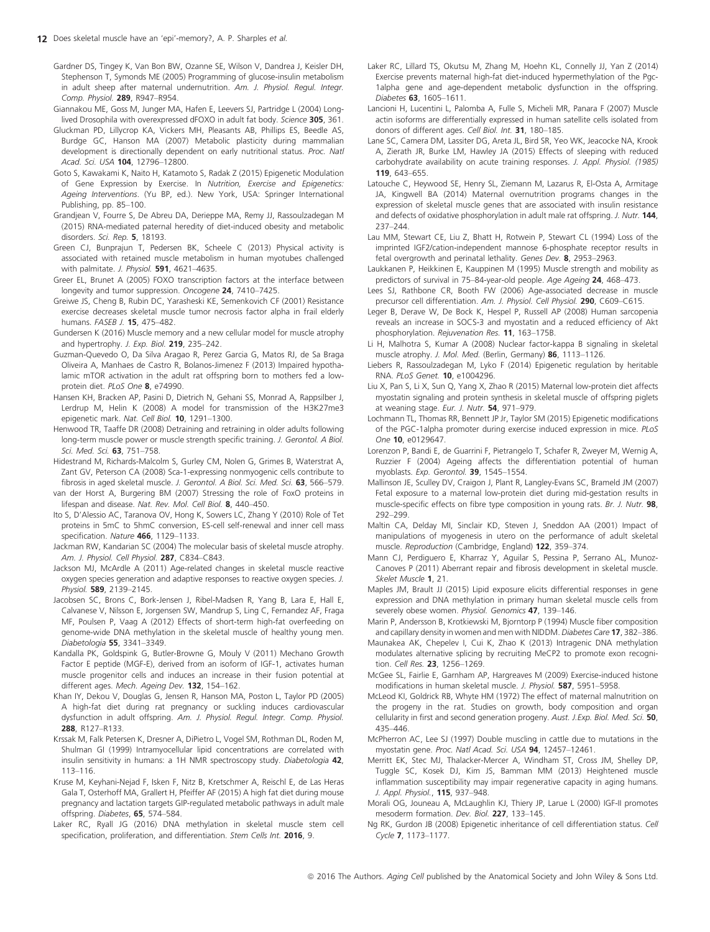Gardner DS, Tingey K, Van Bon BW, Ozanne SE, Wilson V, Dandrea J, Keisler DH, Stephenson T, Symonds ME (2005) Programming of glucose-insulin metabolism in adult sheep after maternal undernutrition. Am. J. Physiol. Regul. Integr. Comp. Physiol. 289, R947–R954.

Giannakou ME, Goss M, Junger MA, Hafen E, Leevers SJ, Partridge L (2004) Longlived Drosophila with overexpressed dFOXO in adult fat body. Science 305, 361.

Gluckman PD, Lillycrop KA, Vickers MH, Pleasants AB, Phillips ES, Beedle AS, Burdge GC, Hanson MA (2007) Metabolic plasticity during mammalian development is directionally dependent on early nutritional status. Proc. Natl Acad. Sci. USA 104, 12796–12800.

Goto S, Kawakami K, Naito H, Katamoto S, Radak Z (2015) Epigenetic Modulation of Gene Expression by Exercise. In Nutrition, Exercise and Epigenetics: Ageing Interventions. (Yu BP, ed.). New York, USA: Springer International Publishing, pp. 85–100.

Grandjean V, Fourre S, De Abreu DA, Derieppe MA, Remy JJ, Rassoulzadegan M (2015) RNA-mediated paternal heredity of diet-induced obesity and metabolic disorders. Sci. Rep. 5, 18193.

Green CJ, Bunprajun T, Pedersen BK, Scheele C (2013) Physical activity is associated with retained muscle metabolism in human myotubes challenged with palmitate. J. Physiol. 591, 4621-4635.

Greer EL, Brunet A (2005) FOXO transcription factors at the interface between longevity and tumor suppression. Oncogene 24, 7410-7425.

Greiwe JS, Cheng B, Rubin DC, Yarasheski KE, Semenkovich CF (2001) Resistance exercise decreases skeletal muscle tumor necrosis factor alpha in frail elderly humans. FASEB J. **15**, 475-482.

Gundersen K (2016) Muscle memory and a new cellular model for muscle atrophy and hypertrophy. J. Exp. Biol. 219, 235-242.

Guzman-Quevedo O, Da Silva Aragao R, Perez Garcia G, Matos RJ, de Sa Braga Oliveira A, Manhaes de Castro R, Bolanos-Jimenez F (2013) Impaired hypothalamic mTOR activation in the adult rat offspring born to mothers fed a lowprotein diet. PLoS One 8, e74990.

Hansen KH, Bracken AP, Pasini D, Dietrich N, Gehani SS, Monrad A, Rappsilber J, Lerdrup M, Helin K (2008) A model for transmission of the H3K27me3 epigenetic mark. Nat. Cell Biol. 10, 1291-1300.

Henwood TR, Taaffe DR (2008) Detraining and retraining in older adults following long-term muscle power or muscle strength specific training. J. Gerontol. A Biol. Sci. Med. Sci. 63, 751-758.

Hidestrand M, Richards-Malcolm S, Gurley CM, Nolen G, Grimes B, Waterstrat A, Zant GV, Peterson CA (2008) Sca-1-expressing nonmyogenic cells contribute to fibrosis in aged skeletal muscle. J. Gerontol. A Biol. Sci. Med. Sci. 63, 566-579.

van der Horst A, Burgering BM (2007) Stressing the role of FoxO proteins in lifespan and disease. Nat. Rev. Mol. Cell Biol. 8, 440–450.

Ito S, D'Alessio AC, Taranova OV, Hong K, Sowers LC, Zhang Y (2010) Role of Tet proteins in 5mC to 5hmC conversion, ES-cell self-renewal and inner cell mass specification. Nature 466, 1129-1133.

Jackman RW, Kandarian SC (2004) The molecular basis of skeletal muscle atrophy. Am. J. Physiol. Cell Physiol. 287, C834-C843.

Jackson MJ, McArdle A (2011) Age-related changes in skeletal muscle reactive oxygen species generation and adaptive responses to reactive oxygen species. J. Physiol. 589, 2139–2145.

Jacobsen SC, Brons C, Bork-Jensen J, Ribel-Madsen R, Yang B, Lara E, Hall E, Calvanese V, Nilsson E, Jorgensen SW, Mandrup S, Ling C, Fernandez AF, Fraga MF, Poulsen P, Vaag A (2012) Effects of short-term high-fat overfeeding on genome-wide DNA methylation in the skeletal muscle of healthy young men. Diabetologia 55, 3341–3349.

Kandalla PK, Goldspink G, Butler-Browne G, Mouly V (2011) Mechano Growth Factor E peptide (MGF-E), derived from an isoform of IGF-1, activates human muscle progenitor cells and induces an increase in their fusion potential at different ages. Mech. Ageing Dev. 132, 154-162.

Khan IY, Dekou V, Douglas G, Jensen R, Hanson MA, Poston L, Taylor PD (2005) A high-fat diet during rat pregnancy or suckling induces cardiovascular dysfunction in adult offspring. Am. J. Physiol. Regul. Integr. Comp. Physiol. 288, R127–R133.

Krssak M, Falk Petersen K, Dresner A, DiPietro L, Vogel SM, Rothman DL, Roden M, Shulman GI (1999) Intramyocellular lipid concentrations are correlated with insulin sensitivity in humans: a 1H NMR spectroscopy study. Diabetologia 42, 113–116.

Kruse M, Keyhani-Nejad F, Isken F, Nitz B, Kretschmer A, Reischl E, de Las Heras Gala T, Osterhoff MA, Grallert H, Pfeiffer AF (2015) A high fat diet during mouse pregnancy and lactation targets GIP-regulated metabolic pathways in adult male offspring. Diabetes, 65, 574-584.

Laker RC, Ryall JG (2016) DNA methylation in skeletal muscle stem cell specification, proliferation, and differentiation. Stem Cells Int. 2016, 9.

Laker RC, Lillard TS, Okutsu M, Zhang M, Hoehn KL, Connelly JJ, Yan Z (2014) Exercise prevents maternal high-fat diet-induced hypermethylation of the Pgc-1alpha gene and age-dependent metabolic dysfunction in the offspring. Diabetes **63**, 1605–1611.

Lancioni H, Lucentini L, Palomba A, Fulle S, Micheli MR, Panara F (2007) Muscle actin isoforms are differentially expressed in human satellite cells isolated from donors of different ages. Cell Biol. Int. 31, 180-185.

Lane SC, Camera DM, Lassiter DG, Areta JL, Bird SR, Yeo WK, Jeacocke NA, Krook A, Zierath JR, Burke LM, Hawley JA (2015) Effects of sleeping with reduced carbohydrate availability on acute training responses. J. Appl. Physiol. (1985) 119, 643–655.

Latouche C, Heywood SE, Henry SL, Ziemann M, Lazarus R, El-Osta A, Armitage JA, Kingwell BA (2014) Maternal overnutrition programs changes in the expression of skeletal muscle genes that are associated with insulin resistance and defects of oxidative phosphorylation in adult male rat offspring. J. Nutr. 144, 237–244.

Lau MM, Stewart CE, Liu Z, Bhatt H, Rotwein P, Stewart CL (1994) Loss of the imprinted IGF2/cation-independent mannose 6-phosphate receptor results in fetal overgrowth and perinatal lethality. Genes Dev. 8, 2953–2963.

Laukkanen P, Heikkinen E, Kauppinen M (1995) Muscle strength and mobility as predictors of survival in 75–84-year-old people. Age Ageing 24, 468–473.

Lees SJ, Rathbone CR, Booth FW (2006) Age-associated decrease in muscle precursor cell differentiation. Am. J. Physiol. Cell Physiol. 290, C609-C615.

Leger B, Derave W, De Bock K, Hespel P, Russell AP (2008) Human sarcopenia reveals an increase in SOCS-3 and myostatin and a reduced efficiency of Akt phosphorylation. Rejuvenation Res. 11, 163–175B.

Li H, Malhotra S, Kumar A (2008) Nuclear factor-kappa B signaling in skeletal muscle atrophy. J. Mol. Med. (Berlin, Germany) 86, 1113–1126.

Liebers R, Rassoulzadegan M, Lyko F (2014) Epigenetic regulation by heritable RNA. PLoS Genet. 10, e1004296.

Liu X, Pan S, Li X, Sun Q, Yang X, Zhao R (2015) Maternal low-protein diet affects myostatin signaling and protein synthesis in skeletal muscle of offspring piglets at weaning stage. Eur. J. Nutr. 54, 971–979.

Lochmann TL, Thomas RR, Bennett JP Jr, Taylor SM (2015) Epigenetic modifications of the PGC-1alpha promoter during exercise induced expression in mice. PLoS One 10, e0129647.

Lorenzon P, Bandi E, de Guarrini F, Pietrangelo T, Schafer R, Zweyer M, Wernig A, Ruzzier F (2004) Ageing affects the differentiation potential of human myoblasts. Exp. Gerontol. 39, 1545–1554.

Mallinson JE, Sculley DV, Craigon J, Plant R, Langley-Evans SC, Brameld JM (2007) Fetal exposure to a maternal low-protein diet during mid-gestation results in muscle-specific effects on fibre type composition in young rats. Br. J. Nutr. 98, 292–299.

Maltin CA, Delday MI, Sinclair KD, Steven J, Sneddon AA (2001) Impact of manipulations of myogenesis in utero on the performance of adult skeletal muscle. Reproduction (Cambridge, England) 122, 359–374.

Mann CJ, Perdiguero E, Kharraz Y, Aguilar S, Pessina P, Serrano AL, Munoz-Canoves P (2011) Aberrant repair and fibrosis development in skeletal muscle. Skelet Muscle 1, 21.

Maples JM, Brault JJ (2015) Lipid exposure elicits differential responses in gene expression and DNA methylation in primary human skeletal muscle cells from severely obese women. Physiol. Genomics 47, 139-146.

Marin P, Andersson B, Krotkiewski M, Bjorntorp P (1994) Muscle fiber composition and capillary density in women and men with NIDDM. Diabetes Care 17, 382-386.

Maunakea AK, Chepelev I, Cui K, Zhao K (2013) Intragenic DNA methylation modulates alternative splicing by recruiting MeCP2 to promote exon recognition. Cell Res. 23, 1256–1269.

McGee SL, Fairlie E, Garnham AP, Hargreaves M (2009) Exercise-induced histone modifications in human skeletal muscle. J. Physiol. 587, 5951–5958.

McLeod KI, Goldrick RB, Whyte HM (1972) The effect of maternal malnutrition on the progeny in the rat. Studies on growth, body composition and organ cellularity in first and second generation progeny. Aust. J. Exp. Biol. Med. Sci. 50, 435–446.

McPherron AC, Lee SJ (1997) Double muscling in cattle due to mutations in the myostatin gene. Proc. Natl Acad. Sci. USA 94, 12457–12461.

Merritt EK, Stec MJ, Thalacker-Mercer A, Windham ST, Cross JM, Shelley DP, Tuggle SC, Kosek DJ, Kim JS, Bamman MM (2013) Heightened muscle inflammation susceptibility may impair regenerative capacity in aging humans. J. Appl. Physiol., 115, 937–948.

Morali OG, Jouneau A, McLaughlin KJ, Thiery JP, Larue L (2000) IGF-II promotes mesoderm formation. Dev. Biol. 227, 133–145.

Ng RK, Gurdon JB (2008) Epigenetic inheritance of cell differentiation status. Cell Cycle 7, 1173–1177.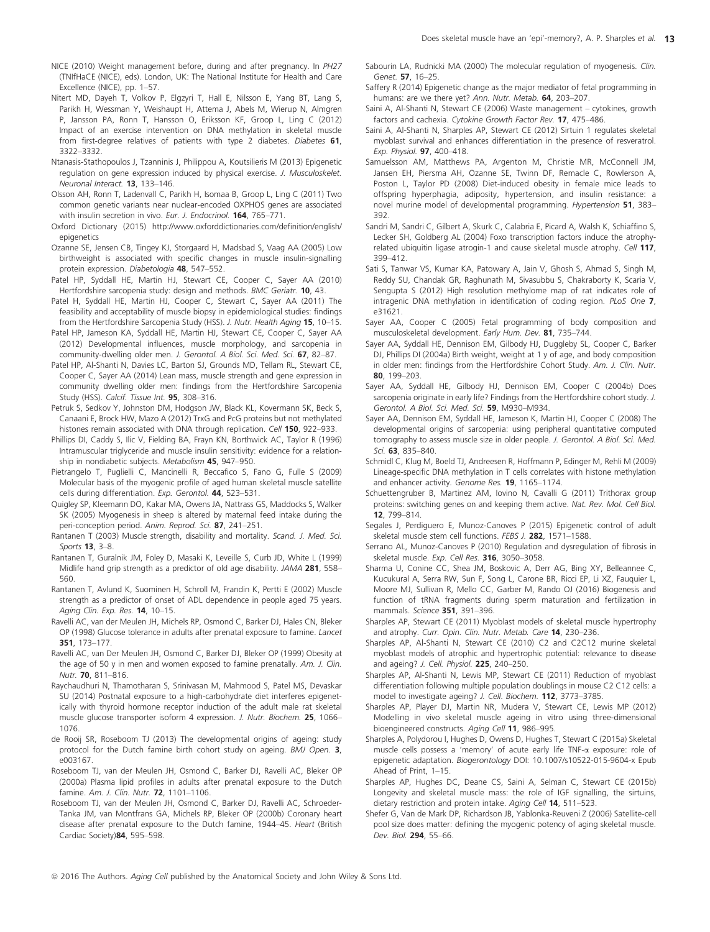- NICE (2010) Weight management before, during and after pregnancy. In PH27 (TNIfHaCE (NICE), eds). London, UK: The National Institute for Health and Care Excellence (NICE), pp. 1–57.
- Nitert MD, Dayeh T, Volkov P, Elgzyri T, Hall E, Nilsson E, Yang BT, Lang S, Parikh H, Wessman Y, Weishaupt H, Attema J, Abels M, Wierup N, Almgren P, Jansson PA, Ronn T, Hansson O, Eriksson KF, Groop L, Ling C (2012) Impact of an exercise intervention on DNA methylation in skeletal muscle from first-degree relatives of patients with type 2 diabetes. Diabetes 61, 3322–3332.
- Ntanasis-Stathopoulos J, Tzanninis J, Philippou A, Koutsilieris M (2013) Epigenetic regulation on gene expression induced by physical exercise. J. Musculoskelet. Neuronal Interact. 13, 133–146.
- Olsson AH, Ronn T, Ladenvall C, Parikh H, Isomaa B, Groop L, Ling C (2011) Two common genetic variants near nuclear-encoded OXPHOS genes are associated with insulin secretion in vivo. Eur. J. Endocrinol. **164**, 765-771.
- Oxford Dictionary (2015) [http://www.oxforddictionaries.com/definition/english/](http://www.oxforddictionaries.com/definition/english/epigenetics) [epigenetics](http://www.oxforddictionaries.com/definition/english/epigenetics)
- Ozanne SE, Jensen CB, Tingey KJ, Storgaard H, Madsbad S, Vaag AA (2005) Low birthweight is associated with specific changes in muscle insulin-signalling protein expression. Diabetologia 48, 547-552.
- Patel HP, Syddall HE, Martin HJ, Stewart CE, Cooper C, Sayer AA (2010) Hertfordshire sarcopenia study: design and methods. BMC Geriatr. 10, 43.
- Patel H, Syddall HE, Martin HJ, Cooper C, Stewart C, Sayer AA (2011) The feasibility and acceptability of muscle biopsy in epidemiological studies: findings from the Hertfordshire Sarcopenia Study (HSS). J. Nutr. Health Aging 15, 10-15.
- Patel HP, Jameson KA, Syddall HE, Martin HJ, Stewart CE, Cooper C, Sayer AA (2012) Developmental influences, muscle morphology, and sarcopenia in community-dwelling older men. J. Gerontol. A Biol. Sci. Med. Sci. 67, 82–87.
- Patel HP, Al-Shanti N, Davies LC, Barton SJ, Grounds MD, Tellam RL, Stewart CE, Cooper C, Sayer AA (2014) Lean mass, muscle strength and gene expression in community dwelling older men: findings from the Hertfordshire Sarcopenia Study (HSS). Calcif. Tissue Int. 95, 308-316.
- Petruk S, Sedkov Y, Johnston DM, Hodgson JW, Black KL, Kovermann SK. Beck S. Canaani E, Brock HW, Mazo A (2012) TrxG and PcG proteins but not methylated histones remain associated with DNA through replication. Cell 150, 922-933.
- Phillips DI, Caddy S, Ilic V, Fielding BA, Frayn KN, Borthwick AC, Taylor R (1996) Intramuscular triglyceride and muscle insulin sensitivity: evidence for a relationship in nondiabetic subjects. Metabolism 45, 947-950.
- Pietrangelo T, Puglielli C, Mancinelli R, Beccafico S, Fano G, Fulle S (2009) Molecular basis of the myogenic profile of aged human skeletal muscle satellite cells during differentiation. Exp. Gerontol. 44, 523–531.
- Quigley SP, Kleemann DO, Kakar MA, Owens JA, Nattrass GS, Maddocks S, Walker SK (2005) Myogenesis in sheep is altered by maternal feed intake during the peri-conception period. Anim. Reprod. Sci. 87, 241-251.
- Rantanen T (2003) Muscle strength, disability and mortality. Scand. J. Med. Sci. Sports 13, 3–8.
- Rantanen T, Guralnik JM, Foley D, Masaki K, Leveille S, Curb JD, White L (1999) Midlife hand grip strength as a predictor of old age disability. JAMA 281, 558– 560.
- Rantanen T, Avlund K, Suominen H, Schroll M, Frandin K, Pertti E (2002) Muscle strength as a predictor of onset of ADL dependence in people aged 75 years. Aging Clin. Exp. Res. **14**, 10-15.
- Ravelli AC, van der Meulen JH, Michels RP, Osmond C, Barker DJ, Hales CN, Bleker OP (1998) Glucose tolerance in adults after prenatal exposure to famine. Lancet 351, 173–177.
- Ravelli AC, van Der Meulen JH, Osmond C, Barker DJ, Bleker OP (1999) Obesity at the age of 50 y in men and women exposed to famine prenatally. Am. J. Clin. Nutr. 70, 811–816.
- Raychaudhuri N, Thamotharan S, Srinivasan M, Mahmood S, Patel MS, Devaskar SU (2014) Postnatal exposure to a high-carbohydrate diet interferes epigenetically with thyroid hormone receptor induction of the adult male rat skeletal muscle glucose transporter isoform 4 expression. J. Nutr. Biochem. 25, 1066– 1076.
- de Rooij SR, Roseboom TJ (2013) The developmental origins of ageing: study protocol for the Dutch famine birth cohort study on ageing. BMJ Open. 3, e003167.
- Roseboom TJ, van der Meulen JH, Osmond C, Barker DJ, Ravelli AC, Bleker OP (2000a) Plasma lipid profiles in adults after prenatal exposure to the Dutch famine. Am. J. Clin. Nutr. 72, 1101-1106.
- Roseboom TJ, van der Meulen JH, Osmond C, Barker DJ, Ravelli AC, Schroeder-Tanka JM, van Montfrans GA, Michels RP, Bleker OP (2000b) Coronary heart disease after prenatal exposure to the Dutch famine, 1944–45. Heart (British Cardiac Society)84, 595–598.
- Sabourin LA, Rudnicki MA (2000) The molecular regulation of myogenesis. Clin. Genet. 57, 16–25.
- Saffery R (2014) Epigenetic change as the major mediator of fetal programming in humans: are we there yet? Ann. Nutr. Metab. 64, 203-207.
- Saini A, Al-Shanti N, Stewart CE (2006) Waste management cytokines, growth factors and cachexia. Cytokine Growth Factor Rev. 17, 475–486.
- Saini A, Al-Shanti N, Sharples AP, Stewart CE (2012) Sirtuin 1 regulates skeletal myoblast survival and enhances differentiation in the presence of resveratrol. Exp. Physiol. 97, 400–418.
- Samuelsson AM, Matthews PA, Argenton M, Christie MR, McConnell JM, Jansen EH, Piersma AH, Ozanne SE, Twinn DF, Remacle C, Rowlerson A, Poston L, Taylor PD (2008) Diet-induced obesity in female mice leads to offspring hyperphagia, adiposity, hypertension, and insulin resistance: a novel murine model of developmental programming. Hypertension 51, 383– 392.
- Sandri M, Sandri C, Gilbert A, Skurk C, Calabria E, Picard A, Walsh K, Schiaffino S, Lecker SH, Goldberg AL (2004) Foxo transcription factors induce the atrophyrelated ubiquitin ligase atrogin-1 and cause skeletal muscle atrophy. Cell 117, 399–412.
- Sati S, Tanwar VS, Kumar KA, Patowary A, Jain V, Ghosh S, Ahmad S, Singh M, Reddy SU, Chandak GR, Raghunath M, Sivasubbu S, Chakraborty K, Scaria V, Sengupta S (2012) High resolution methylome map of rat indicates role of intragenic DNA methylation in identification of coding region. PLoS One 7, e31621.
- Sayer AA, Cooper C (2005) Fetal programming of body composition and musculoskeletal development. Early Hum. Dev. 81, 735–744.
- Sayer AA, Syddall HE, Dennison EM, Gilbody HJ, Duggleby SL, Cooper C, Barker DJ, Phillips DI (2004a) Birth weight, weight at 1 y of age, and body composition in older men: findings from the Hertfordshire Cohort Study. Am. J. Clin. Nutr. 80, 199–203.
- Sayer AA, Syddall HE, Gilbody HJ, Dennison EM, Cooper C (2004b) Does sarcopenia originate in early life? Findings from the Hertfordshire cohort study. J. Gerontol. A Biol. Sci. Med. Sci. 59, M930–M934.
- Sayer AA, Dennison EM, Syddall HE, Jameson K, Martin HJ, Cooper C (2008) The developmental origins of sarcopenia: using peripheral quantitative computed tomography to assess muscle size in older people. J. Gerontol. A Biol. Sci. Med. Sci. 63, 835–840.
- Schmidl C, Klug M, Boeld TJ, Andreesen R, Hoffmann P, Edinger M, Rehli M (2009) Lineage-specific DNA methylation in T cells correlates with histone methylation and enhancer activity. Genome Res. 19, 1165–1174.
- Schuettengruber B, Martinez AM, Iovino N, Cavalli G (2011) Trithorax group proteins: switching genes on and keeping them active. Nat. Rev. Mol. Cell Biol. 12, 799–814.
- Segales J, Perdiguero E, Munoz-Canoves P (2015) Epigenetic control of adult skeletal muscle stem cell functions. FEBS J. 282, 1571-1588.
- Serrano AL, Munoz-Canoves P (2010) Regulation and dysregulation of fibrosis in skeletal muscle. Exp. Cell Res. 316, 3050–3058.
- Sharma U, Conine CC, Shea JM, Boskovic A, Derr AG, Bing XY, Belleannee C, Kucukural A, Serra RW, Sun F, Song L, Carone BR, Ricci EP, Li XZ, Fauquier L, Moore MJ, Sullivan R, Mello CC, Garber M, Rando OJ (2016) Biogenesis and function of tRNA fragments during sperm maturation and fertilization in mammals. Science 351, 391-396.
- Sharples AP, Stewart CE (2011) Myoblast models of skeletal muscle hypertrophy and atrophy. Curr. Opin. Clin. Nutr. Metab. Care 14, 230-236.
- Sharples AP, Al-Shanti N, Stewart CE (2010) C2 and C2C12 murine skeletal myoblast models of atrophic and hypertrophic potential: relevance to disease and ageing? J. Cell. Physiol. 225, 240–250.
- Sharples AP, Al-Shanti N, Lewis MP, Stewart CE (2011) Reduction of myoblast differentiation following multiple population doublings in mouse C2 C12 cells: a model to investigate ageing? J. Cell. Biochem. 112, 3773–3785.
- Sharples AP, Player DJ, Martin NR, Mudera V, Stewart CE, Lewis MP (2012) Modelling in vivo skeletal muscle ageing in vitro using three-dimensional bioengineered constructs. Aging Cell 11, 986-995.
- Sharples A, Polydorou I, Hughes D, Owens D, Hughes T, Stewart C (2015a) Skeletal muscle cells possess a 'memory' of acute early life TNF-a exposure: role of epigenetic adaptation. Biogerontology DOI: [10.1007/s10522-015-9604-x](http://dx.doi.org/10.1007/s10522-015-9604-x) Epub Ahead of Print, 1–15.
- Sharples AP, Hughes DC, Deane CS, Saini A, Selman C, Stewart CE (2015b) Longevity and skeletal muscle mass: the role of IGF signalling, the sirtuins, dietary restriction and protein intake. Aging Cell 14, 511-523.
- Shefer G, Van de Mark DP, Richardson JB, Yablonka-Reuveni Z (2006) Satellite-cell pool size does matter: defining the myogenic potency of aging skeletal muscle. Dev. Biol. 294, 55–66.